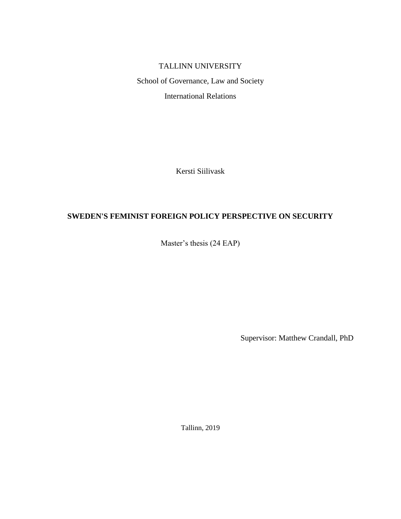# TALLINN UNIVERSITY

School of Governance, Law and Society International Relations

Kersti Siilivask

# **SWEDEN'S FEMINIST FOREIGN POLICY PERSPECTIVE ON SECURITY**

Master's thesis (24 EAP)

Supervisor: Matthew Crandall, PhD

Tallinn, 2019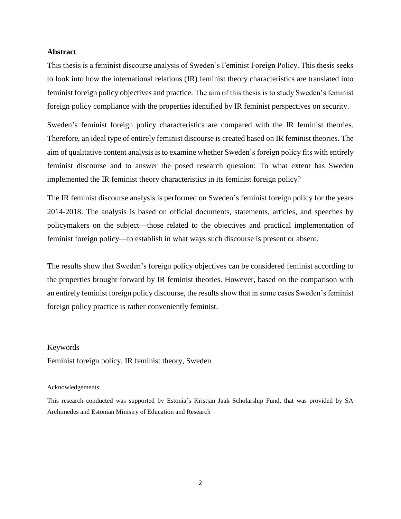# **Abstract**

This thesis is a feminist discourse analysis of Sweden's Feminist Foreign Policy. This thesis seeks to look into how the international relations (IR) feminist theory characteristics are translated into feminist foreign policy objectives and practice. The aim of this thesis is to study Sweden's feminist foreign policy compliance with the properties identified by IR feminist perspectives on security.

Sweden's feminist foreign policy characteristics are compared with the IR feminist theories. Therefore, an ideal type of entirely feminist discourse is created based on IR feminist theories. The aim of qualitative content analysis is to examine whether Sweden's foreign policy fits with entirely feminist discourse and to answer the posed research question: To what extent has Sweden implemented the IR feminist theory characteristics in its feminist foreign policy?

The IR feminist discourse analysis is performed on Sweden's feminist foreign policy for the years 2014-2018. The analysis is based on official documents, statements, articles, and speeches by policymakers on the subject—those related to the objectives and practical implementation of feminist foreign policy—to establish in what ways such discourse is present or absent.

The results show that Sweden's foreign policy objectives can be considered feminist according to the properties brought forward by IR feminist theories. However, based on the comparison with an entirely feminist foreign policy discourse, the results show that in some cases Sweden's feminist foreign policy practice is rather conveniently feminist.

#### Keywords

Feminist foreign policy, IR feminist theory, Sweden

#### Acknowledgements:

This research conducted was supported by Estonia´s Kristjan Jaak Scholarship Fund, that was provided by SA Archimedes and Estonian Ministry of Education and Research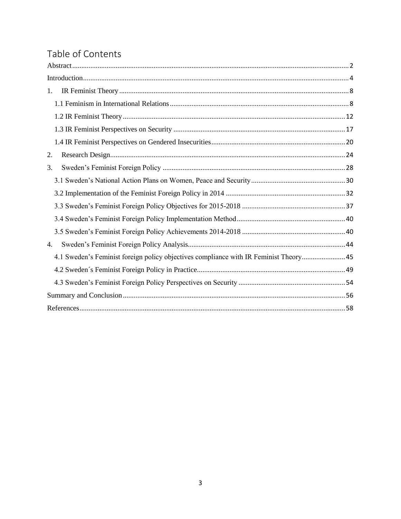# Table of Contents

| 1.                                                                                    |
|---------------------------------------------------------------------------------------|
|                                                                                       |
|                                                                                       |
|                                                                                       |
|                                                                                       |
| 2.                                                                                    |
| 3.                                                                                    |
|                                                                                       |
|                                                                                       |
|                                                                                       |
|                                                                                       |
|                                                                                       |
| 4.                                                                                    |
| 4.1 Sweden's Feminist foreign policy objectives compliance with IR Feminist Theory 45 |
|                                                                                       |
|                                                                                       |
|                                                                                       |
|                                                                                       |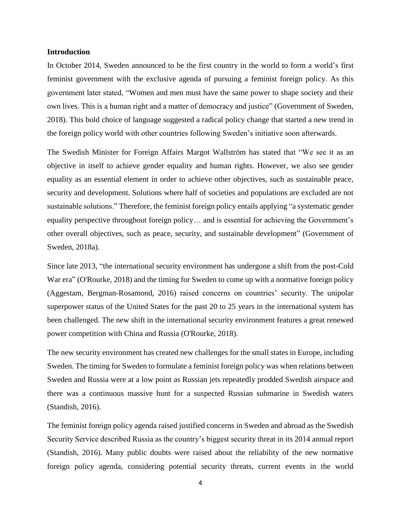## **Introduction**

In October 2014, Sweden announced to be the first country in the world to form a world's first feminist government with the exclusive agenda of pursuing a feminist foreign policy. As this government later stated, "Women and men must have the same power to shape society and their own lives. This is a human right and a matter of democracy and justice" (Government of Sweden, 2018). This bold choice of language suggested a radical policy change that started a new trend in the foreign policy world with other countries following Sweden's initiative soon afterwards.

The Swedish Minister for Foreign Affairs Margot Wallström has stated that "We see it as an objective in itself to achieve gender equality and human rights. However, we also see gender equality as an essential element in order to achieve other objectives, such as sustainable peace, security and development. Solutions where half of societies and populations are excluded are not sustainable solutions." Therefore, the feminist foreign policy entails applying "a systematic gender equality perspective throughout foreign policy… and is essential for achieving the Government's other overall objectives, such as peace, security, and sustainable development" (Government of Sweden, 2018a).

Since late 2013, "the international security environment has undergone a shift from the post-Cold War era" (O'Rourke, 2018) and the timing for Sweden to come up with a normative foreign policy (Aggestam, Bergman-Rosamond, 2016) raised concerns on countries' security. The unipolar superpower status of the United States for the past 20 to 25 years in the international system has been challenged. The new shift in the international security environment features a great renewed power competition with China and Russia (O'Rourke, 2018).

The new security environment has created new challenges for the small states in Europe, including Sweden. The timing for Sweden to formulate a feminist foreign policy was when relations between Sweden and Russia were at a low point as Russian jets repeatedly prodded Swedish airspace and there was a continuous massive hunt for a suspected Russian submarine in Swedish waters (Standish, 2016).

The feminist foreign policy agenda raised justified concerns in Sweden and abroad as the Swedish Security Service described Russia as the country's biggest security threat in its 2014 annual report (Standish, 2016). Many public doubts were raised about the reliability of the new normative foreign policy agenda, considering potential security threats, current events in the world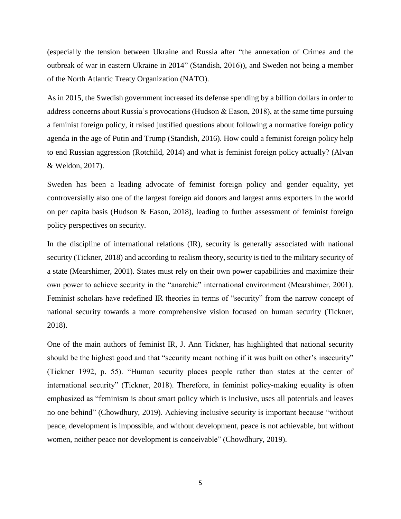(especially the tension between Ukraine and Russia after "the annexation of Crimea and the outbreak of war in eastern Ukraine in 2014" (Standish, 2016)), and Sweden not being a member of the North Atlantic Treaty Organization (NATO).

As in 2015, the Swedish government increased its defense spending by a billion dollars in order to address concerns about Russia's provocations (Hudson & Eason, 2018), at the same time pursuing a feminist foreign policy, it raised justified questions about following a normative foreign policy agenda in the age of Putin and Trump (Standish, 2016). How could a feminist foreign policy help to end Russian aggression (Rotchild, 2014) and what is feminist foreign policy actually? (Alvan & Weldon, 2017).

Sweden has been a leading advocate of feminist foreign policy and gender equality, yet controversially also one of the largest foreign aid donors and largest arms exporters in the world on per capita basis (Hudson & Eason, 2018), leading to further assessment of feminist foreign policy perspectives on security.

In the discipline of international relations (IR), security is generally associated with national security (Tickner, 2018) and according to realism theory, security is tied to the military security of a state (Mearshimer, 2001). States must rely on their own power capabilities and maximize their own power to achieve security in the "anarchic" international environment (Mearshimer, 2001). Feminist scholars have redefined IR theories in terms of "security" from the narrow concept of national security towards a more comprehensive vision focused on human security (Tickner, 2018).

One of the main authors of feminist IR, J. Ann Tickner, has highlighted that national security should be the highest good and that "security meant nothing if it was built on other's insecurity" (Tickner 1992, p. 55). "Human security places people rather than states at the center of international security" (Tickner, 2018). Therefore, in feminist policy-making equality is often emphasized as "feminism is about smart policy which is inclusive, uses all potentials and leaves no one behind" (Chowdhury, 2019). Achieving inclusive security is important because "without peace, development is impossible, and without development, peace is not achievable, but without women, neither peace nor development is conceivable" (Chowdhury, 2019).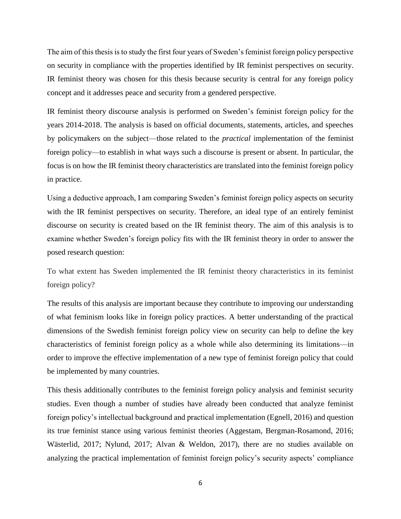The aim of this thesis is to study the first four years of Sweden's feminist foreign policy perspective on security in compliance with the properties identified by IR feminist perspectives on security. IR feminist theory was chosen for this thesis because security is central for any foreign policy concept and it addresses peace and security from a gendered perspective.

IR feminist theory discourse analysis is performed on Sweden's feminist foreign policy for the years 2014-2018. The analysis is based on official documents, statements, articles, and speeches by policymakers on the subject—those related to the *practical* implementation of the feminist foreign policy—to establish in what ways such a discourse is present or absent. In particular, the focus is on how the IR feminist theory characteristics are translated into the feminist foreign policy in practice.

Using a deductive approach, I am comparing Sweden's feminist foreign policy aspects on security with the IR feminist perspectives on security. Therefore, an ideal type of an entirely feminist discourse on security is created based on the IR feminist theory. The aim of this analysis is to examine whether Sweden's foreign policy fits with the IR feminist theory in order to answer the posed research question:

To what extent has Sweden implemented the IR feminist theory characteristics in its feminist foreign policy?

The results of this analysis are important because they contribute to improving our understanding of what feminism looks like in foreign policy practices. A better understanding of the practical dimensions of the Swedish feminist foreign policy view on security can help to define the key characteristics of feminist foreign policy as a whole while also determining its limitations—in order to improve the effective implementation of a new type of feminist foreign policy that could be implemented by many countries.

This thesis additionally contributes to the feminist foreign policy analysis and feminist security studies. Even though a number of studies have already been conducted that analyze feminist foreign policy's intellectual background and practical implementation (Egnell, 2016) and question its true feminist stance using various feminist theories (Aggestam, Bergman-Rosamond, 2016; Wästerlid, 2017; Nylund, 2017; Alvan & Weldon, 2017), there are no studies available on analyzing the practical implementation of feminist foreign policy's security aspects' compliance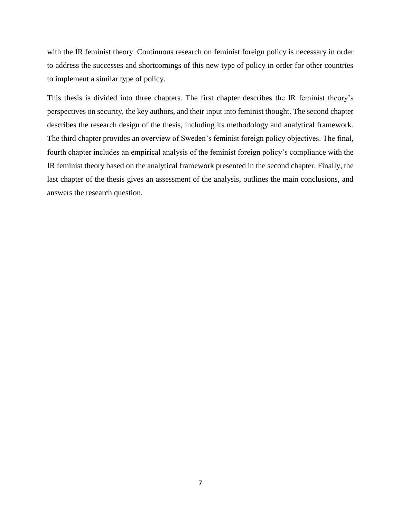with the IR feminist theory. Continuous research on feminist foreign policy is necessary in order to address the successes and shortcomings of this new type of policy in order for other countries to implement a similar type of policy.

This thesis is divided into three chapters. The first chapter describes the IR feminist theory's perspectives on security, the key authors, and their input into feminist thought. The second chapter describes the research design of the thesis, including its methodology and analytical framework. The third chapter provides an overview of Sweden's feminist foreign policy objectives. The final, fourth chapter includes an empirical analysis of the feminist foreign policy's compliance with the IR feminist theory based on the analytical framework presented in the second chapter. Finally, the last chapter of the thesis gives an assessment of the analysis, outlines the main conclusions, and answers the research question.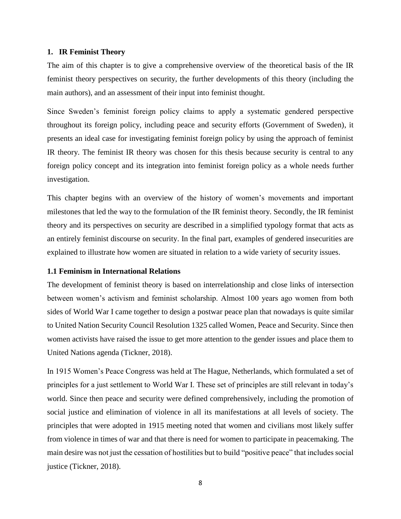# **1. IR Feminist Theory**

The aim of this chapter is to give a comprehensive overview of the theoretical basis of the IR feminist theory perspectives on security, the further developments of this theory (including the main authors), and an assessment of their input into feminist thought.

Since Sweden's feminist foreign policy claims to apply a systematic gendered perspective throughout its foreign policy, including peace and security efforts (Government of Sweden), it presents an ideal case for investigating feminist foreign policy by using the approach of feminist IR theory. The feminist IR theory was chosen for this thesis because security is central to any foreign policy concept and its integration into feminist foreign policy as a whole needs further investigation.

This chapter begins with an overview of the history of women's movements and important milestones that led the way to the formulation of the IR feminist theory. Secondly, the IR feminist theory and its perspectives on security are described in a simplified typology format that acts as an entirely feminist discourse on security. In the final part, examples of gendered insecurities are explained to illustrate how women are situated in relation to a wide variety of security issues.

# **1.1 Feminism in International Relations**

The development of feminist theory is based on interrelationship and close links of intersection between women's activism and feminist scholarship. Almost 100 years ago women from both sides of World War I came together to design a postwar peace plan that nowadays is quite similar to United Nation Security Council Resolution 1325 called Women, Peace and Security. Since then women activists have raised the issue to get more attention to the gender issues and place them to United Nations agenda (Tickner, 2018).

In 1915 Women's Peace Congress was held at The Hague, Netherlands, which formulated a set of principles for a just settlement to World War I. These set of principles are still relevant in today's world. Since then peace and security were defined comprehensively, including the promotion of social justice and elimination of violence in all its manifestations at all levels of society. The principles that were adopted in 1915 meeting noted that women and civilians most likely suffer from violence in times of war and that there is need for women to participate in peacemaking. The main desire was not just the cessation of hostilities but to build "positive peace" that includes social justice (Tickner, 2018).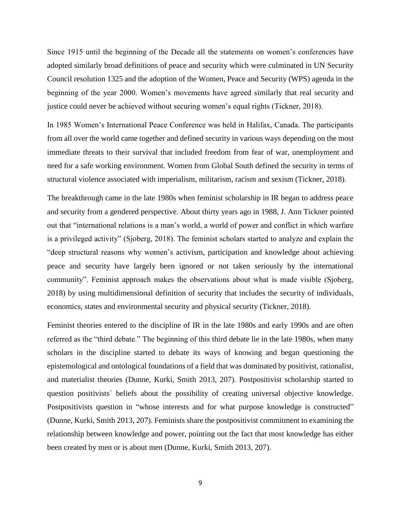Since 1915 until the beginning of the Decade all the statements on women's conferences have adopted similarly broad definitions of peace and security which were culminated in UN Security Council resolution 1325 and the adoption of the Women, Peace and Security (WPS) agenda in the beginning of the year 2000. Women's movements have agreed similarly that real security and justice could never be achieved without securing women's equal rights (Tickner, 2018).

In 1985 Women's International Peace Conference was held in Halifax, Canada. The participants from all over the world came together and defined security in various ways depending on the most immediate threats to their survival that included freedom from fear of war, unemployment and need for a safe working environment. Women from Global South defined the security in terms of structural violence associated with imperialism, militarism, racism and sexism (Tickner, 2018).

The breakthrough came in the late 1980s when feminist scholarship in IR began to address peace and security from a gendered perspective. About thirty years ago in 1988, J. Ann Tickner pointed out that "international relations is a man's world, a world of power and conflict in which warfare is a privileged activity" (Sjoberg, 2018). The feminist scholars started to analyze and explain the "deep structural reasons why women's activism, participation and knowledge about achieving peace and security have largely been ignored or not taken seriously by the international community". Feminist approach makes the observations about what is made visible (Sjoberg, 2018) by using multidimensional definition of security that includes the security of individuals, economics, states and environmental security and physical security (Tickner, 2018).

Feminist theories entered to the discipline of IR in the late 1980s and early 1990s and are often referred as the "third debate." The beginning of this third debate lie in the late 1980s, when many scholars in the discipline started to debate its ways of knowing and began questioning the epistemological and ontological foundations of a field that was dominated by positivist, rationalist, and materialist theories (Dunne, Kurki, Smith 2013, 207). Postpositivist scholarship started to question positivists´ beliefs about the possibility of creating universal objective knowledge. Postpositivists question in "whose interests and for what purpose knowledge is constructed" (Dunne, Kurki, Smith 2013, 207). Feminists share the postpositivist commitment to examining the relationship between knowledge and power, pointing out the fact that most knowledge has either been created by men or is about men (Dunne, Kurki, Smith 2013, 207).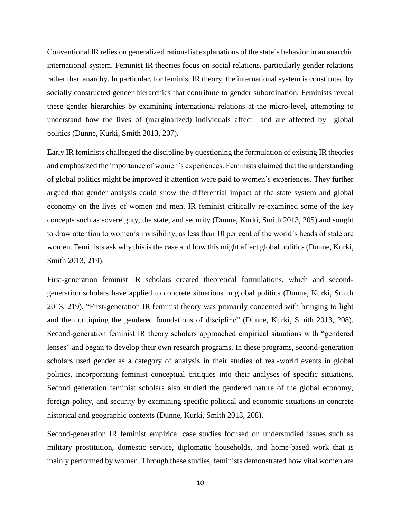Conventional IR relies on generalized rationalist explanations of the state´s behavior in an anarchic international system. Feminist IR theories focus on social relations, particularly gender relations rather than anarchy. In particular, for feminist IR theory, the international system is constituted by socially constructed gender hierarchies that contribute to gender subordination. Feminists reveal these gender hierarchies by examining international relations at the micro-level, attempting to understand how the lives of (marginalized) individuals affect—and are affected by—global politics (Dunne, Kurki, Smith 2013, 207).

Early IR feminists challenged the discipline by questioning the formulation of existing IR theories and emphasized the importance of women's experiences. Feminists claimed that the understanding of global politics might be improved if attention were paid to women's experiences. They further argued that gender analysis could show the differential impact of the state system and global economy on the lives of women and men. IR feminist critically re-examined some of the key concepts such as sovereignty, the state, and security (Dunne, Kurki, Smith 2013, 205) and sought to draw attention to women's invisibility, as less than 10 per cent of the world's heads of state are women. Feminists ask why this is the case and how this might affect global politics (Dunne, Kurki, Smith 2013, 219).

First-generation feminist IR scholars created theoretical formulations, which and secondgeneration scholars have applied to concrete situations in global politics (Dunne, Kurki, Smith 2013, 219). "First-generation IR feminist theory was primarily concerned with bringing to light and then critiquing the gendered foundations of discipline" (Dunne, Kurki, Smith 2013, 208). Second-generation feminist IR theory scholars approached empirical situations with "gendered lenses" and began to develop their own research programs. In these programs, second-generation scholars used gender as a category of analysis in their studies of real-world events in global politics, incorporating feminist conceptual critiques into their analyses of specific situations. Second generation feminist scholars also studied the gendered nature of the global economy, foreign policy, and security by examining specific political and economic situations in concrete historical and geographic contexts (Dunne, Kurki, Smith 2013, 208).

Second-generation IR feminist empirical case studies focused on understudied issues such as military prostitution, domestic service, diplomatic households, and home-based work that is mainly performed by women. Through these studies, feminists demonstrated how vital women are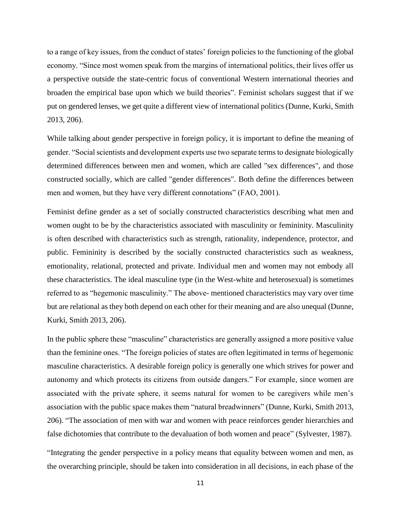to a range of key issues, from the conduct of states' foreign policies to the functioning of the global economy. "Since most women speak from the margins of international politics, their lives offer us a perspective outside the state-centric focus of conventional Western international theories and broaden the empirical base upon which we build theories". Feminist scholars suggest that if we put on gendered lenses, we get quite a different view of international politics (Dunne, Kurki, Smith 2013, 206).

While talking about gender perspective in foreign policy, it is important to define the meaning of gender. "Social scientists and development experts use two separate terms to designate biologically determined differences between men and women, which are called "sex differences", and those constructed socially, which are called "gender differences". Both define the differences between men and women, but they have very different connotations" (FAO, 2001).

Feminist define gender as a set of socially constructed characteristics describing what men and women ought to be by the characteristics associated with masculinity or femininity. Masculinity is often described with characteristics such as strength, rationality, independence, protector, and public. Femininity is described by the socially constructed characteristics such as weakness, emotionality, relational, protected and private. Individual men and women may not embody all these characteristics. The ideal masculine type (in the West-white and heterosexual) is sometimes referred to as "hegemonic masculinity." The above- mentioned characteristics may vary over time but are relational as they both depend on each other for their meaning and are also unequal (Dunne, Kurki, Smith 2013, 206).

In the public sphere these "masculine" characteristics are generally assigned a more positive value than the feminine ones. "The foreign policies of states are often legitimated in terms of hegemonic masculine characteristics. A desirable foreign policy is generally one which strives for power and autonomy and which protects its citizens from outside dangers." For example, since women are associated with the private sphere, it seems natural for women to be caregivers while men's association with the public space makes them "natural breadwinners" (Dunne, Kurki, Smith 2013, 206). "The association of men with war and women with peace reinforces gender hierarchies and false dichotomies that contribute to the devaluation of both women and peace" (Sylvester, 1987).

"Integrating the gender perspective in a policy means that equality between women and men, as the overarching principle, should be taken into consideration in all decisions, in each phase of the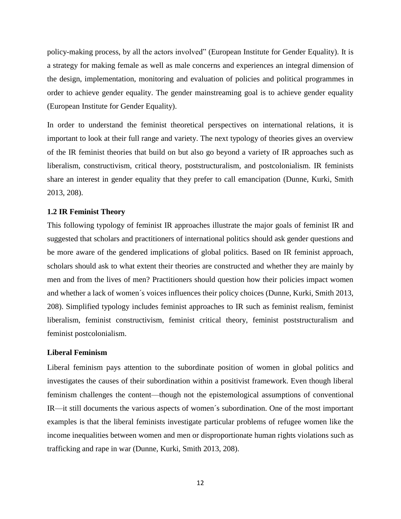policy-making process, by all the actors involved" (European Institute for Gender Equality). It is a strategy for making female as well as male concerns and experiences an integral dimension of the design, implementation, monitoring and evaluation of policies and political programmes in order to achieve gender equality. The gender mainstreaming goal is to achieve gender equality (European Institute for Gender Equality).

In order to understand the feminist theoretical perspectives on international relations, it is important to look at their full range and variety. The next typology of theories gives an overview of the IR feminist theories that build on but also go beyond a variety of IR approaches such as liberalism, constructivism, critical theory, poststructuralism, and postcolonialism. IR feminists share an interest in gender equality that they prefer to call emancipation (Dunne, Kurki, Smith 2013, 208).

#### **1.2 IR Feminist Theory**

This following typology of feminist IR approaches illustrate the major goals of feminist IR and suggested that scholars and practitioners of international politics should ask gender questions and be more aware of the gendered implications of global politics. Based on IR feminist approach, scholars should ask to what extent their theories are constructed and whether they are mainly by men and from the lives of men? Practitioners should question how their policies impact women and whether a lack of women´s voices influences their policy choices (Dunne, Kurki, Smith 2013, 208). Simplified typology includes feminist approaches to IR such as feminist realism, feminist liberalism, feminist constructivism, feminist critical theory, feminist poststructuralism and feminist postcolonialism.

## **Liberal Feminism**

Liberal feminism pays attention to the subordinate position of women in global politics and investigates the causes of their subordination within a positivist framework. Even though liberal feminism challenges the content—though not the epistemological assumptions of conventional IR—it still documents the various aspects of women´s subordination. One of the most important examples is that the liberal feminists investigate particular problems of refugee women like the income inequalities between women and men or disproportionate human rights violations such as trafficking and rape in war (Dunne, Kurki, Smith 2013, 208).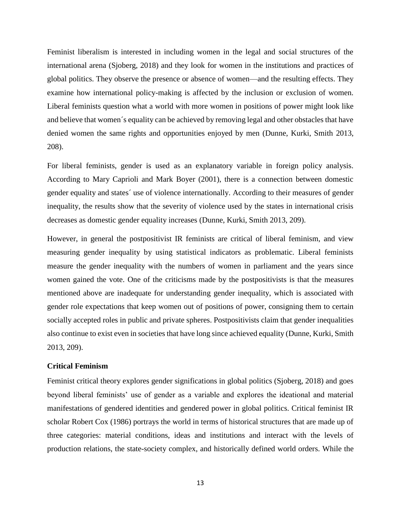Feminist liberalism is interested in including women in the legal and social structures of the international arena (Sjoberg, 2018) and they look for women in the institutions and practices of global politics. They observe the presence or absence of women—and the resulting effects. They examine how international policy-making is affected by the inclusion or exclusion of women. Liberal feminists question what a world with more women in positions of power might look like and believe that women´s equality can be achieved by removing legal and other obstacles that have denied women the same rights and opportunities enjoyed by men (Dunne, Kurki, Smith 2013, 208).

For liberal feminists, gender is used as an explanatory variable in foreign policy analysis. According to Mary Caprioli and Mark Boyer (2001), there is a connection between domestic gender equality and states´ use of violence internationally. According to their measures of gender inequality, the results show that the severity of violence used by the states in international crisis decreases as domestic gender equality increases (Dunne, Kurki, Smith 2013, 209).

However, in general the postpositivist IR feminists are critical of liberal feminism, and view measuring gender inequality by using statistical indicators as problematic. Liberal feminists measure the gender inequality with the numbers of women in parliament and the years since women gained the vote. One of the criticisms made by the postpositivists is that the measures mentioned above are inadequate for understanding gender inequality, which is associated with gender role expectations that keep women out of positions of power, consigning them to certain socially accepted roles in public and private spheres. Postpositivists claim that gender inequalities also continue to exist even in societies that have long since achieved equality (Dunne, Kurki, Smith 2013, 209).

# **Critical Feminism**

Feminist critical theory explores gender significations in global politics (Sjoberg, 2018) and goes beyond liberal feminists' use of gender as a variable and explores the ideational and material manifestations of gendered identities and gendered power in global politics. Critical feminist IR scholar Robert Cox (1986) portrays the world in terms of historical structures that are made up of three categories: material conditions, ideas and institutions and interact with the levels of production relations, the state-society complex, and historically defined world orders. While the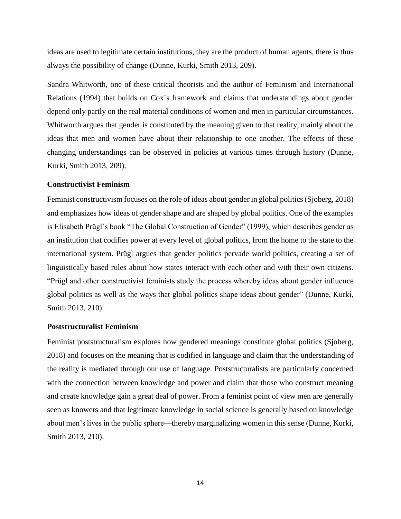ideas are used to legitimate certain institutions, they are the product of human agents, there is thus always the possibility of change (Dunne, Kurki, Smith 2013, 209).

Sandra Whitworth, one of these critical theorists and the author of Feminism and International Relations (1994) that builds on Cox´s framework and claims that understandings about gender depend only partly on the real material conditions of women and men in particular circumstances. Whitworth argues that gender is constituted by the meaning given to that reality, mainly about the ideas that men and women have about their relationship to one another. The effects of these changing understandings can be observed in policies at various times through history (Dunne, Kurki, Smith 2013, 209).

# **Constructivist Feminism**

Feminist constructivism focuses on the role of ideas about gender in global politics (Sjoberg, 2018) and emphasizes how ideas of gender shape and are shaped by global politics. One of the examples is Elisabeth Prügl´s book "The Global Construction of Gender" (1999), which describes gender as an institution that codifies power at every level of global politics, from the home to the state to the international system. Prügl argues that gender politics pervade world politics, creating a set of linguistically based rules about how states interact with each other and with their own citizens. "Prügl and other constructivist feminists study the process whereby ideas about gender influence global politics as well as the ways that global politics shape ideas about gender" (Dunne, Kurki, Smith 2013, 210).

#### **Poststructuralist Feminism**

Feminist poststructuralism explores how gendered meanings constitute global politics (Sjoberg, 2018) and focuses on the meaning that is codified in language and claim that the understanding of the reality is mediated through our use of language. Poststructuralists are particularly concerned with the connection between knowledge and power and claim that those who construct meaning and create knowledge gain a great deal of power. From a feminist point of view men are generally seen as knowers and that legitimate knowledge in social science is generally based on knowledge about men's lives in the public sphere—thereby marginalizing women in this sense (Dunne, Kurki, Smith 2013, 210).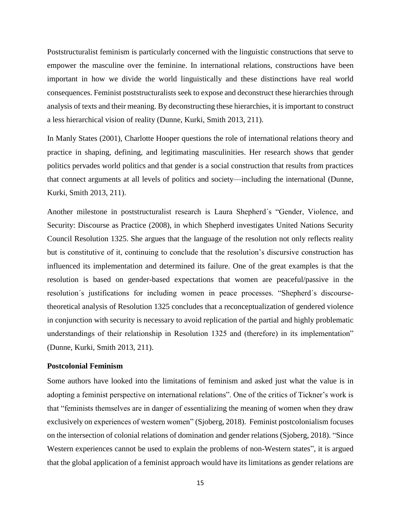Poststructuralist feminism is particularly concerned with the linguistic constructions that serve to empower the masculine over the feminine. In international relations, constructions have been important in how we divide the world linguistically and these distinctions have real world consequences. Feminist poststructuralists seek to expose and deconstruct these hierarchies through analysis of texts and their meaning. By deconstructing these hierarchies, it is important to construct a less hierarchical vision of reality (Dunne, Kurki, Smith 2013, 211).

In Manly States (2001), Charlotte Hooper questions the role of international relations theory and practice in shaping, defining, and legitimating masculinities. Her research shows that gender politics pervades world politics and that gender is a social construction that results from practices that connect arguments at all levels of politics and society—including the international (Dunne, Kurki, Smith 2013, 211).

Another milestone in poststructuralist research is Laura Shepherd´s "Gender, Violence, and Security: Discourse as Practice (2008), in which Shepherd investigates United Nations Security Council Resolution 1325. She argues that the language of the resolution not only reflects reality but is constitutive of it, continuing to conclude that the resolution's discursive construction has influenced its implementation and determined its failure. One of the great examples is that the resolution is based on gender-based expectations that women are peaceful/passive in the resolution´s justifications for including women in peace processes. "Shepherd´s discoursetheoretical analysis of Resolution 1325 concludes that a reconceptualization of gendered violence in conjunction with security is necessary to avoid replication of the partial and highly problematic understandings of their relationship in Resolution 1325 and (therefore) in its implementation" (Dunne, Kurki, Smith 2013, 211).

#### **Postcolonial Feminism**

Some authors have looked into the limitations of feminism and asked just what the value is in adopting a feminist perspective on international relations". One of the critics of Tickner's work is that "feminists themselves are in danger of essentializing the meaning of women when they draw exclusively on experiences of western women" (Sjoberg, 2018). Feminist postcolonialism focuses on the intersection of colonial relations of domination and gender relations (Sjoberg, 2018). "Since Western experiences cannot be used to explain the problems of non-Western states", it is argued that the global application of a feminist approach would have its limitations as gender relations are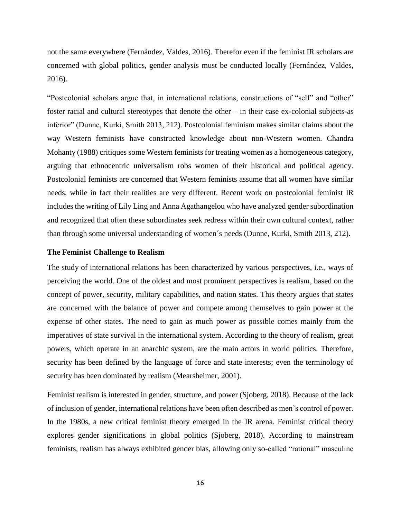not the same everywhere (Fernández, Valdes, 2016). Therefor even if the feminist IR scholars are concerned with global politics, gender analysis must be conducted locally (Fernández, Valdes, 2016).

"Postcolonial scholars argue that, in international relations, constructions of "self" and "other" foster racial and cultural stereotypes that denote the other – in their case ex-colonial subjects-as inferior" (Dunne, Kurki, Smith 2013, 212). Postcolonial feminism makes similar claims about the way Western feminists have constructed knowledge about non-Western women. Chandra Mohanty (1988) critiques some Western feminists for treating women as a homogeneous category, arguing that ethnocentric universalism robs women of their historical and political agency. Postcolonial feminists are concerned that Western feminists assume that all women have similar needs, while in fact their realities are very different. Recent work on postcolonial feminist IR includes the writing of Lily Ling and Anna Agathangelou who have analyzed gender subordination and recognized that often these subordinates seek redress within their own cultural context, rather than through some universal understanding of women´s needs (Dunne, Kurki, Smith 2013, 212).

# **The Feminist Challenge to Realism**

The study of international relations has been characterized by various perspectives, i.e., ways of perceiving the world. One of the oldest and most prominent perspectives is realism, based on the concept of power, security, military capabilities, and nation states. This theory argues that states are concerned with the balance of power and compete among themselves to gain power at the expense of other states. The need to gain as much power as possible comes mainly from the imperatives of state survival in the international system. According to the theory of realism, great powers, which operate in an anarchic system, are the main actors in world politics. Therefore, security has been defined by the language of force and state interests; even the terminology of security has been dominated by realism (Mearsheimer, 2001).

Feminist realism is interested in gender, structure, and power (Sjoberg, 2018). Because of the lack of inclusion of gender, international relations have been often described as men's control of power. In the 1980s, a new critical feminist theory emerged in the IR arena. Feminist critical theory explores gender significations in global politics (Sjoberg, 2018). According to mainstream feminists, realism has always exhibited gender bias, allowing only so-called "rational" masculine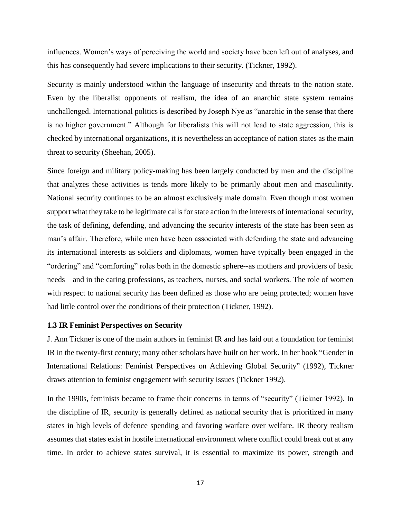influences. Women's ways of perceiving the world and society have been left out of analyses, and this has consequently had severe implications to their security. (Tickner, 1992).

Security is mainly understood within the language of insecurity and threats to the nation state. Even by the liberalist opponents of realism, the idea of an anarchic state system remains unchallenged. International politics is described by Joseph Nye as "anarchic in the sense that there is no higher government." Although for liberalists this will not lead to state aggression, this is checked by international organizations, it is nevertheless an acceptance of nation states as the main threat to security (Sheehan, 2005).

Since foreign and military policy-making has been largely conducted by men and the discipline that analyzes these activities is tends more likely to be primarily about men and masculinity. National security continues to be an almost exclusively male domain. Even though most women support what they take to be legitimate calls for state action in the interests of international security, the task of defining, defending, and advancing the security interests of the state has been seen as man's affair. Therefore, while men have been associated with defending the state and advancing its international interests as soldiers and diplomats, women have typically been engaged in the "ordering" and "comforting" roles both in the domestic sphere--as mothers and providers of basic needs—and in the caring professions, as teachers, nurses, and social workers. The role of women with respect to national security has been defined as those who are being protected; women have had little control over the conditions of their protection (Tickner, 1992).

# **1.3 IR Feminist Perspectives on Security**

J. Ann Tickner is one of the main authors in feminist IR and has laid out a foundation for feminist IR in the twenty-first century; many other scholars have built on her work. In her book "Gender in International Relations: Feminist Perspectives on Achieving Global Security" (1992), Tickner draws attention to feminist engagement with security issues (Tickner 1992).

In the 1990s, feminists became to frame their concerns in terms of "security" (Tickner 1992). In the discipline of IR, security is generally defined as national security that is prioritized in many states in high levels of defence spending and favoring warfare over welfare. IR theory realism assumes that states exist in hostile international environment where conflict could break out at any time. In order to achieve states survival, it is essential to maximize its power, strength and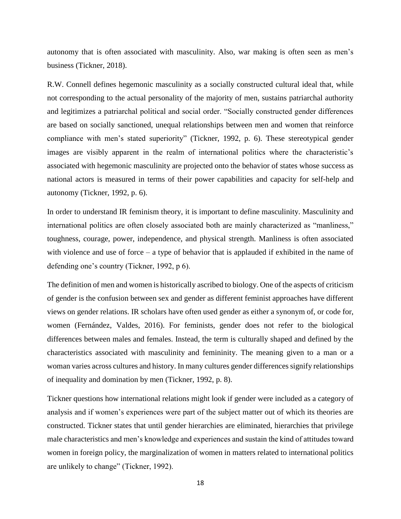autonomy that is often associated with masculinity. Also, war making is often seen as men's business (Tickner, 2018).

R.W. Connell defines hegemonic masculinity as a socially constructed cultural ideal that, while not corresponding to the actual personality of the majority of men, sustains patriarchal authority and legitimizes a patriarchal political and social order. "Socially constructed gender differences are based on socially sanctioned, unequal relationships between men and women that reinforce compliance with men's stated superiority" (Tickner, 1992, p. 6). These stereotypical gender images are visibly apparent in the realm of international politics where the characteristic's associated with hegemonic masculinity are projected onto the behavior of states whose success as national actors is measured in terms of their power capabilities and capacity for self-help and autonomy (Tickner, 1992, p. 6).

In order to understand IR feminism theory, it is important to define masculinity. Masculinity and international politics are often closely associated both are mainly characterized as "manliness," toughness, courage, power, independence, and physical strength. Manliness is often associated with violence and use of force – a type of behavior that is applauded if exhibited in the name of defending one's country (Tickner, 1992, p 6).

The definition of men and women is historically ascribed to biology. One of the aspects of criticism of gender is the confusion between sex and gender as different feminist approaches have different views on gender relations. IR scholars have often used gender as either a synonym of, or code for, women (Fernández, Valdes, 2016). For feminists, gender does not refer to the biological differences between males and females. Instead, the term is culturally shaped and defined by the characteristics associated with masculinity and femininity. The meaning given to a man or a woman varies across cultures and history. In many cultures gender differences signify relationships of inequality and domination by men (Tickner, 1992, p. 8).

Tickner questions how international relations might look if gender were included as a category of analysis and if women's experiences were part of the subject matter out of which its theories are constructed. Tickner states that until gender hierarchies are eliminated, hierarchies that privilege male characteristics and men's knowledge and experiences and sustain the kind of attitudes toward women in foreign policy, the marginalization of women in matters related to international politics are unlikely to change" (Tickner, 1992).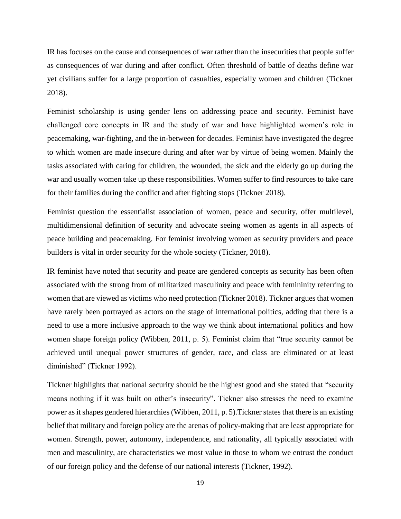IR has focuses on the cause and consequences of war rather than the insecurities that people suffer as consequences of war during and after conflict. Often threshold of battle of deaths define war yet civilians suffer for a large proportion of casualties, especially women and children (Tickner 2018).

Feminist scholarship is using gender lens on addressing peace and security. Feminist have challenged core concepts in IR and the study of war and have highlighted women's role in peacemaking, war-fighting, and the in-between for decades. Feminist have investigated the degree to which women are made insecure during and after war by virtue of being women. Mainly the tasks associated with caring for children, the wounded, the sick and the elderly go up during the war and usually women take up these responsibilities. Women suffer to find resources to take care for their families during the conflict and after fighting stops (Tickner 2018).

Feminist question the essentialist association of women, peace and security, offer multilevel, multidimensional definition of security and advocate seeing women as agents in all aspects of peace building and peacemaking. For feminist involving women as security providers and peace builders is vital in order security for the whole society (Tickner, 2018).

IR feminist have noted that security and peace are gendered concepts as security has been often associated with the strong from of militarized masculinity and peace with femininity referring to women that are viewed as victims who need protection (Tickner 2018). Tickner argues that women have rarely been portrayed as actors on the stage of international politics, adding that there is a need to use a more inclusive approach to the way we think about international politics and how women shape foreign policy (Wibben, 2011, p. 5). Feminist claim that "true security cannot be achieved until unequal power structures of gender, race, and class are eliminated or at least diminished" (Tickner 1992).

Tickner highlights that national security should be the highest good and she stated that "security means nothing if it was built on other's insecurity". Tickner also stresses the need to examine power as it shapes gendered hierarchies (Wibben, 2011, p. 5).Tickner states that there is an existing belief that military and foreign policy are the arenas of policy-making that are least appropriate for women. Strength, power, autonomy, independence, and rationality, all typically associated with men and masculinity, are characteristics we most value in those to whom we entrust the conduct of our foreign policy and the defense of our national interests (Tickner, 1992).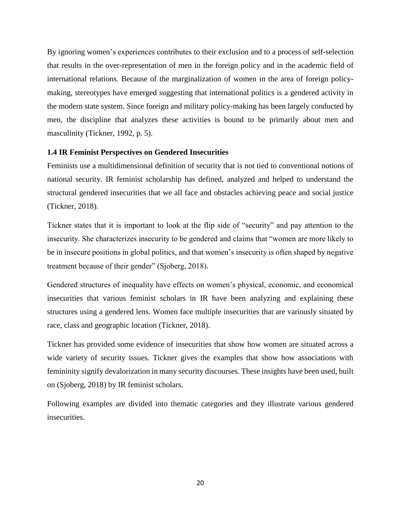By ignoring women's experiences contributes to their exclusion and to a process of self-selection that results in the over-representation of men in the foreign policy and in the academic field of international relations. Because of the marginalization of women in the area of foreign policymaking, stereotypes have emerged suggesting that international politics is a gendered activity in the modern state system. Since foreign and military policy-making has been largely conducted by men, the discipline that analyzes these activities is bound to be primarily about men and masculinity (Tickner, 1992, p. 5).

# **1.4 IR Feminist Perspectives on Gendered Insecurities**

Feminists use a multidimensional definition of security that is not tied to conventional notions of national security. IR feminist scholarship has defined, analyzed and helped to understand the structural gendered insecurities that we all face and obstacles achieving peace and social justice (Tickner, 2018).

Tickner states that it is important to look at the flip side of "security" and pay attention to the insecurity. She characterizes insecurity to be gendered and claims that "women are more likely to be in insecure positions in global politics, and that women's insecurity is often shaped by negative treatment because of their gender" (Sjoberg, 2018).

Gendered structures of inequality have effects on women's physical, economic, and economical insecurities that various feminist scholars in IR have been analyzing and explaining these structures using a gendered lens. Women face multiple insecurities that are variously situated by race, class and geographic location (Tickner, 2018).

Tickner has provided some evidence of insecurities that show how women are situated across a wide variety of security issues. Tickner gives the examples that show how associations with femininity signify devalorization in many security discourses. These insights have been used, built on (Sjoberg, 2018) by IR feminist scholars.

Following examples are divided into thematic categories and they illustrate various gendered insecurities.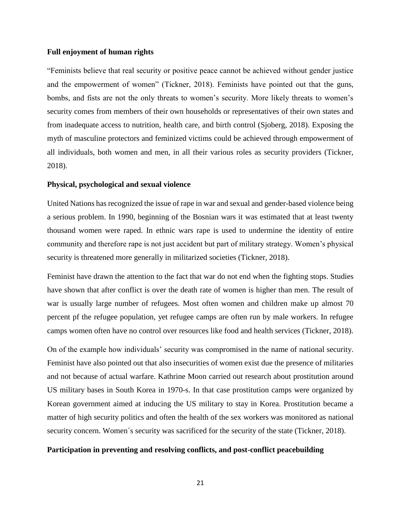# **Full enjoyment of human rights**

"Feminists believe that real security or positive peace cannot be achieved without gender justice and the empowerment of women" (Tickner, 2018). Feminists have pointed out that the guns, bombs, and fists are not the only threats to women's security. More likely threats to women's security comes from members of their own households or representatives of their own states and from inadequate access to nutrition, health care, and birth control (Sjoberg, 2018). Exposing the myth of masculine protectors and feminized victims could be achieved through empowerment of all individuals, both women and men, in all their various roles as security providers (Tickner, 2018).

#### **Physical, psychological and sexual violence**

United Nations has recognized the issue of rape in war and sexual and gender-based violence being a serious problem. In 1990, beginning of the Bosnian wars it was estimated that at least twenty thousand women were raped. In ethnic wars rape is used to undermine the identity of entire community and therefore rape is not just accident but part of military strategy. Women's physical security is threatened more generally in militarized societies (Tickner, 2018).

Feminist have drawn the attention to the fact that war do not end when the fighting stops. Studies have shown that after conflict is over the death rate of women is higher than men. The result of war is usually large number of refugees. Most often women and children make up almost 70 percent pf the refugee population, yet refugee camps are often run by male workers. In refugee camps women often have no control over resources like food and health services (Tickner, 2018).

On of the example how individuals' security was compromised in the name of national security. Feminist have also pointed out that also insecurities of women exist due the presence of militaries and not because of actual warfare. Kathrine Moon carried out research about prostitution around US military bases in South Korea in 1970-s. In that case prostitution camps were organized by Korean government aimed at inducing the US military to stay in Korea. Prostitution became a matter of high security politics and often the health of the sex workers was monitored as national security concern. Women's security was sacrificed for the security of the state (Tickner, 2018).

#### **Participation in preventing and resolving conflicts, and post-conflict peacebuilding**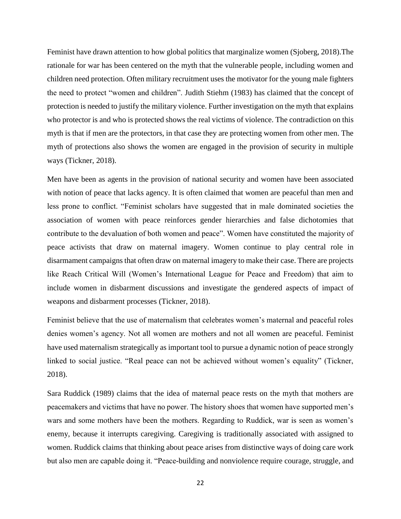Feminist have drawn attention to how global politics that marginalize women (Sjoberg, 2018).The rationale for war has been centered on the myth that the vulnerable people, including women and children need protection. Often military recruitment uses the motivator for the young male fighters the need to protect "women and children". Judith Stiehm (1983) has claimed that the concept of protection is needed to justify the military violence. Further investigation on the myth that explains who protector is and who is protected shows the real victims of violence. The contradiction on this myth is that if men are the protectors, in that case they are protecting women from other men. The myth of protections also shows the women are engaged in the provision of security in multiple ways (Tickner, 2018).

Men have been as agents in the provision of national security and women have been associated with notion of peace that lacks agency. It is often claimed that women are peaceful than men and less prone to conflict. "Feminist scholars have suggested that in male dominated societies the association of women with peace reinforces gender hierarchies and false dichotomies that contribute to the devaluation of both women and peace". Women have constituted the majority of peace activists that draw on maternal imagery. Women continue to play central role in disarmament campaigns that often draw on maternal imagery to make their case. There are projects like Reach Critical Will (Women's International League for Peace and Freedom) that aim to include women in disbarment discussions and investigate the gendered aspects of impact of weapons and disbarment processes (Tickner, 2018).

Feminist believe that the use of maternalism that celebrates women's maternal and peaceful roles denies women's agency. Not all women are mothers and not all women are peaceful. Feminist have used maternalism strategically as important tool to pursue a dynamic notion of peace strongly linked to social justice. "Real peace can not be achieved without women's equality" (Tickner, 2018).

Sara Ruddick (1989) claims that the idea of maternal peace rests on the myth that mothers are peacemakers and victims that have no power. The history shoes that women have supported men's wars and some mothers have been the mothers. Regarding to Ruddick, war is seen as women's enemy, because it interrupts caregiving. Caregiving is traditionally associated with assigned to women. Ruddick claims that thinking about peace arises from distinctive ways of doing care work but also men are capable doing it. "Peace-building and nonviolence require courage, struggle, and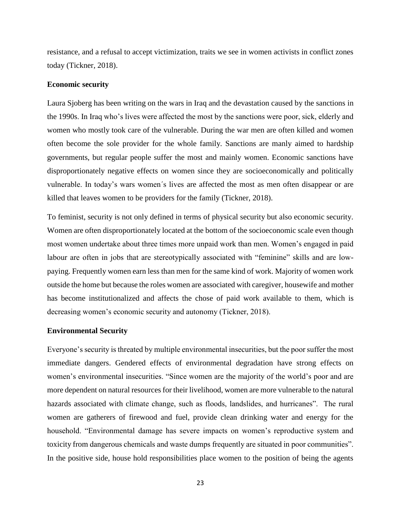resistance, and a refusal to accept victimization, traits we see in women activists in conflict zones today (Tickner, 2018).

#### **Economic security**

Laura Sjoberg has been writing on the wars in Iraq and the devastation caused by the sanctions in the 1990s. In Iraq who's lives were affected the most by the sanctions were poor, sick, elderly and women who mostly took care of the vulnerable. During the war men are often killed and women often become the sole provider for the whole family. Sanctions are manly aimed to hardship governments, but regular people suffer the most and mainly women. Economic sanctions have disproportionately negative effects on women since they are socioeconomically and politically vulnerable. In today's wars women´s lives are affected the most as men often disappear or are killed that leaves women to be providers for the family (Tickner, 2018).

To feminist, security is not only defined in terms of physical security but also economic security. Women are often disproportionately located at the bottom of the socioeconomic scale even though most women undertake about three times more unpaid work than men. Women's engaged in paid labour are often in jobs that are stereotypically associated with "feminine" skills and are lowpaying. Frequently women earn less than men for the same kind of work. Majority of women work outside the home but because the roles women are associated with caregiver, housewife and mother has become institutionalized and affects the chose of paid work available to them, which is decreasing women's economic security and autonomy (Tickner, 2018).

#### **Environmental Security**

Everyone's security is threated by multiple environmental insecurities, but the poor suffer the most immediate dangers. Gendered effects of environmental degradation have strong effects on women's environmental insecurities. "Since women are the majority of the world's poor and are more dependent on natural resources for their livelihood, women are more vulnerable to the natural hazards associated with climate change, such as floods, landslides, and hurricanes". The rural women are gatherers of firewood and fuel, provide clean drinking water and energy for the household. "Environmental damage has severe impacts on women's reproductive system and toxicity from dangerous chemicals and waste dumps frequently are situated in poor communities". In the positive side, house hold responsibilities place women to the position of being the agents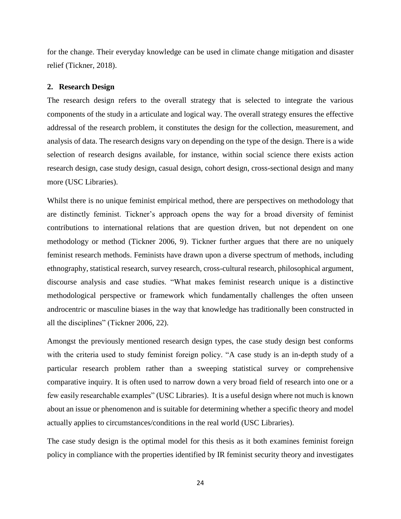for the change. Their everyday knowledge can be used in climate change mitigation and disaster relief (Tickner, 2018).

# **2. Research Design**

The research design refers to the overall strategy that is selected to integrate the various components of the study in a articulate and logical way. The overall strategy ensures the effective addressal of the research problem, it constitutes the design for the collection, measurement, and analysis of data. The research designs vary on depending on the type of the design. There is a wide selection of research designs available, for instance, within social science there exists action research design, case study design, casual design, cohort design, cross-sectional design and many more (USC Libraries).

Whilst there is no unique feminist empirical method, there are perspectives on methodology that are distinctly feminist. Tickner's approach opens the way for a broad diversity of feminist contributions to international relations that are question driven, but not dependent on one methodology or method (Tickner 2006, 9). Tickner further argues that there are no uniquely feminist research methods. Feminists have drawn upon a diverse spectrum of methods, including ethnography, statistical research, survey research, cross-cultural research, philosophical argument, discourse analysis and case studies. "What makes feminist research unique is a distinctive methodological perspective or framework which fundamentally challenges the often unseen androcentric or masculine biases in the way that knowledge has traditionally been constructed in all the disciplines" (Tickner 2006, 22).

Amongst the previously mentioned research design types, the case study design best conforms with the criteria used to study feminist foreign policy. "A case study is an in-depth study of a particular research problem rather than a sweeping statistical survey or comprehensive comparative inquiry. It is often used to narrow down a very broad field of research into one or a few easily researchable examples" (USC Libraries). It is a useful design where not much is known about an issue or phenomenon and is suitable for determining whether a specific theory and model actually applies to circumstances/conditions in the real world (USC Libraries).

The case study design is the optimal model for this thesis as it both examines feminist foreign policy in compliance with the properties identified by IR feminist security theory and investigates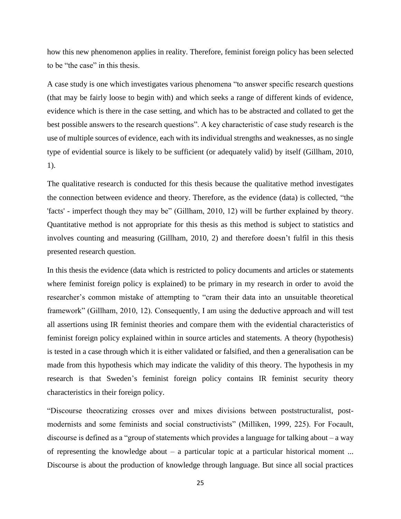how this new phenomenon applies in reality. Therefore, feminist foreign policy has been selected to be "the case" in this thesis.

A case study is one which investigates various phenomena "to answer specific research questions (that may be fairly loose to begin with) and which seeks a range of different kinds of evidence, evidence which is there in the case setting, and which has to be abstracted and collated to get the best possible answers to the research questions". A key characteristic of case study research is the use of multiple sources of evidence, each with its individual strengths and weaknesses, as no single type of evidential source is likely to be sufficient (or adequately valid) by itself (Gillham, 2010, 1).

The qualitative research is conducted for this thesis because the qualitative method investigates the connection between evidence and theory. Therefore, as the evidence (data) is collected, "the 'facts' - imperfect though they may be" (Gillham, 2010, 12) will be further explained by theory. Quantitative method is not appropriate for this thesis as this method is subject to statistics and involves counting and measuring (Gillham, 2010, 2) and therefore doesn't fulfil in this thesis presented research question.

In this thesis the evidence (data which is restricted to policy documents and articles or statements where feminist foreign policy is explained) to be primary in my research in order to avoid the researcher's common mistake of attempting to "cram their data into an unsuitable theoretical framework" (Gillham, 2010, 12). Consequently, I am using the deductive approach and will test all assertions using IR feminist theories and compare them with the evidential characteristics of feminist foreign policy explained within in source articles and statements. A theory (hypothesis) is tested in a case through which it is either validated or falsified, and then a generalisation can be made from this hypothesis which may indicate the validity of this theory. The hypothesis in my research is that Sweden's feminist foreign policy contains IR feminist security theory characteristics in their foreign policy.

"Discourse theocratizing crosses over and mixes divisions between poststructuralist, postmodernists and some feminists and social constructivists" (Milliken, 1999, 225). For Focault, discourse is defined as a "group of statements which provides a language for talking about – a way of representing the knowledge about  $-$  a particular topic at a particular historical moment ... Discourse is about the production of knowledge through language. But since all social practices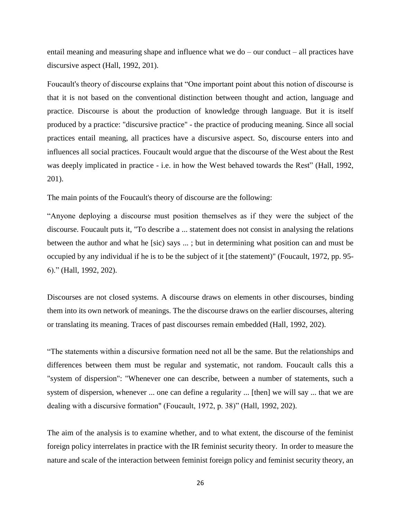entail meaning and measuring shape and influence what we do – our conduct – all practices have discursive aspect (Hall, 1992, 201).

Foucault's theory of discourse explains that "One important point about this notion of discourse is that it is not based on the conventional distinction between thought and action, language and practice. Discourse is about the production of knowledge through language. But it is itself produced by a practice: "discursive practice" - the practice of producing meaning. Since all social practices entail meaning, all practices have a discursive aspect. So, discourse enters into and influences all social practices. Foucault would argue that the discourse of the West about the Rest was deeply implicated in practice - i.e. in how the West behaved towards the Rest" (Hall, 1992, 201).

The main points of the Foucault's theory of discourse are the following:

"Anyone deploying a discourse must position themselves as if they were the subject of the discourse. Foucault puts it, "To describe a ... statement does not consist in analysing the relations between the author and what he [sic) says ... ; but in determining what position can and must be occupied by any individual if he is to be the subject of it [the statement)" (Foucault, 1972, pp. 95- 6)." (Hall, 1992, 202).

Discourses are not closed systems. A discourse draws on elements in other discourses, binding them into its own network of meanings. The the discourse draws on the earlier discourses, altering or translating its meaning. Traces of past discourses remain embedded (Hall, 1992, 202).

"The statements within a discursive formation need not all be the same. But the relationships and differences between them must be regular and systematic, not random. Foucault calls this a "system of dispersion": "Whenever one can describe, between a number of statements, such a system of dispersion, whenever ... one can define a regularity ... [then] we will say ... that we are dealing with a discursive formation" (Foucault, 1972, p. 38)" (Hall, 1992, 202).

The aim of the analysis is to examine whether, and to what extent, the discourse of the feminist foreign policy interrelates in practice with the IR feminist security theory. In order to measure the nature and scale of the interaction between feminist foreign policy and feminist security theory, an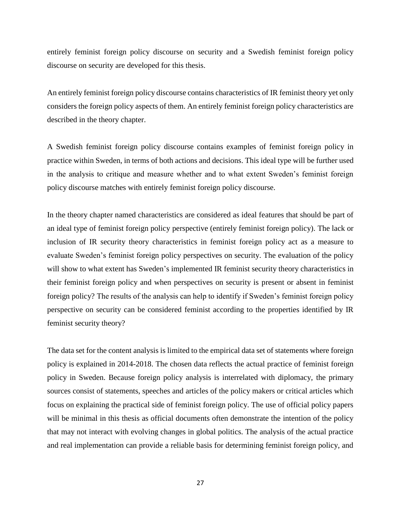entirely feminist foreign policy discourse on security and a Swedish feminist foreign policy discourse on security are developed for this thesis.

An entirely feminist foreign policy discourse contains characteristics of IR feminist theory yet only considers the foreign policy aspects of them. An entirely feminist foreign policy characteristics are described in the theory chapter.

A Swedish feminist foreign policy discourse contains examples of feminist foreign policy in practice within Sweden, in terms of both actions and decisions. This ideal type will be further used in the analysis to critique and measure whether and to what extent Sweden's feminist foreign policy discourse matches with entirely feminist foreign policy discourse.

In the theory chapter named characteristics are considered as ideal features that should be part of an ideal type of feminist foreign policy perspective (entirely feminist foreign policy). The lack or inclusion of IR security theory characteristics in feminist foreign policy act as a measure to evaluate Sweden's feminist foreign policy perspectives on security. The evaluation of the policy will show to what extent has Sweden's implemented IR feminist security theory characteristics in their feminist foreign policy and when perspectives on security is present or absent in feminist foreign policy? The results of the analysis can help to identify if Sweden's feminist foreign policy perspective on security can be considered feminist according to the properties identified by IR feminist security theory?

The data set for the content analysis is limited to the empirical data set of statements where foreign policy is explained in 2014-2018. The chosen data reflects the actual practice of feminist foreign policy in Sweden. Because foreign policy analysis is interrelated with diplomacy, the primary sources consist of statements, speeches and articles of the policy makers or critical articles which focus on explaining the practical side of feminist foreign policy. The use of official policy papers will be minimal in this thesis as official documents often demonstrate the intention of the policy that may not interact with evolving changes in global politics. The analysis of the actual practice and real implementation can provide a reliable basis for determining feminist foreign policy, and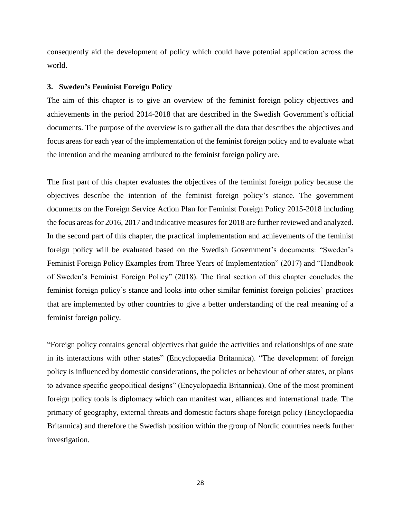consequently aid the development of policy which could have potential application across the world.

# **3. Sweden's Feminist Foreign Policy**

The aim of this chapter is to give an overview of the feminist foreign policy objectives and achievements in the period 2014-2018 that are described in the Swedish Government's official documents. The purpose of the overview is to gather all the data that describes the objectives and focus areas for each year of the implementation of the feminist foreign policy and to evaluate what the intention and the meaning attributed to the feminist foreign policy are.

The first part of this chapter evaluates the objectives of the feminist foreign policy because the objectives describe the intention of the feminist foreign policy's stance. The government documents on the Foreign Service Action Plan for Feminist Foreign Policy 2015-2018 including the focus areas for 2016, 2017 and indicative measures for 2018 are further reviewed and analyzed. In the second part of this chapter, the practical implementation and achievements of the feminist foreign policy will be evaluated based on the Swedish Government's documents: "Sweden's Feminist Foreign Policy Examples from Three Years of Implementation" (2017) and "Handbook of Sweden's Feminist Foreign Policy" (2018). The final section of this chapter concludes the feminist foreign policy's stance and looks into other similar feminist foreign policies' practices that are implemented by other countries to give a better understanding of the real meaning of a feminist foreign policy.

"Foreign policy contains general objectives that guide the activities and relationships of one state in its interactions with other states" (Encyclopaedia Britannica). "The development of foreign policy is influenced by domestic considerations, the policies or behaviour of other states, or plans to advance specific geopolitical designs" (Encyclopaedia Britannica). One of the most prominent foreign policy tools is diplomacy which can manifest war, alliances and international trade. The primacy of geography, external threats and domestic factors shape foreign policy (Encyclopaedia Britannica) and therefore the Swedish position within the group of Nordic countries needs further investigation.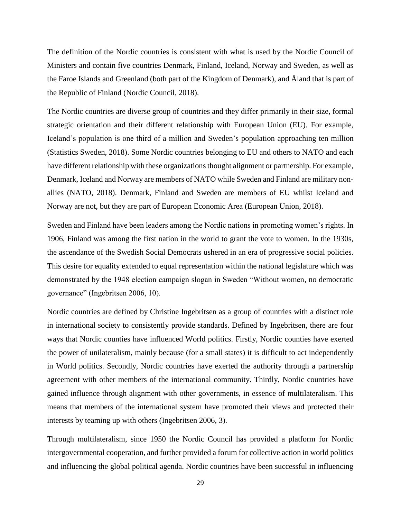The definition of the Nordic countries is consistent with what is used by the Nordic Council of Ministers and contain five countries Denmark, Finland, Iceland, Norway and Sweden, as well as the Faroe Islands and Greenland (both part of the Kingdom of Denmark), and Åland that is part of the Republic of Finland (Nordic Council, 2018).

The Nordic countries are diverse group of countries and they differ primarily in their size, formal strategic orientation and their different relationship with European Union (EU). For example, Iceland's population is one third of a million and Sweden's population approaching ten million (Statistics Sweden, 2018). Some Nordic countries belonging to EU and others to NATO and each have different relationship with these organizations thought alignment or partnership. For example, Denmark, Iceland and Norway are members of NATO while Sweden and Finland are military nonallies (NATO, 2018). Denmark, Finland and Sweden are members of EU whilst Iceland and Norway are not, but they are part of European Economic Area (European Union, 2018).

Sweden and Finland have been leaders among the Nordic nations in promoting women's rights. In 1906, Finland was among the first nation in the world to grant the vote to women. In the 1930s, the ascendance of the Swedish Social Democrats ushered in an era of progressive social policies. This desire for equality extended to equal representation within the national legislature which was demonstrated by the 1948 election campaign slogan in Sweden "Without women, no democratic governance" (Ingebritsen 2006, 10).

Nordic countries are defined by Christine Ingebritsen as a group of countries with a distinct role in international society to consistently provide standards. Defined by Ingebritsen, there are four ways that Nordic counties have influenced World politics. Firstly, Nordic counties have exerted the power of unilateralism, mainly because (for a small states) it is difficult to act independently in World politics. Secondly, Nordic countries have exerted the authority through a partnership agreement with other members of the international community. Thirdly, Nordic countries have gained influence through alignment with other governments, in essence of multilateralism. This means that members of the international system have promoted their views and protected their interests by teaming up with others (Ingebritsen 2006, 3).

Through multilateralism, since 1950 the Nordic Council has provided a platform for Nordic intergovernmental cooperation, and further provided a forum for collective action in world politics and influencing the global political agenda. Nordic countries have been successful in influencing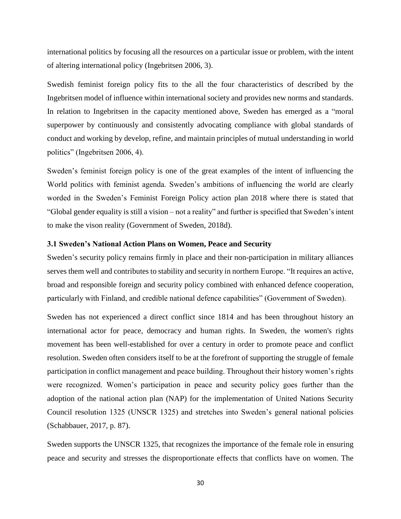international politics by focusing all the resources on a particular issue or problem, with the intent of altering international policy (Ingebritsen 2006, 3).

Swedish feminist foreign policy fits to the all the four characteristics of described by the Ingebritsen model of influence within international society and provides new norms and standards. In relation to Ingebritsen in the capacity mentioned above, Sweden has emerged as a "moral superpower by continuously and consistently advocating compliance with global standards of conduct and working by develop, refine, and maintain principles of mutual understanding in world politics" (Ingebritsen 2006, 4).

Sweden's feminist foreign policy is one of the great examples of the intent of influencing the World politics with feminist agenda. Sweden's ambitions of influencing the world are clearly worded in the Sweden's Feminist Foreign Policy action plan 2018 where there is stated that "Global gender equality is still a vision – not a reality" and further is specified that Sweden's intent to make the vison reality (Government of Sweden, 2018d).

#### **3.1 Sweden's National Action Plans on Women, Peace and Security**

Sweden's security policy remains firmly in place and their non-participation in military alliances serves them well and contributes to stability and security in northern Europe. "It requires an active, broad and responsible foreign and security policy combined with enhanced defence cooperation, particularly with Finland, and credible national defence capabilities" (Government of Sweden).

Sweden has not experienced a direct conflict since 1814 and has been throughout history an international actor for peace, democracy and human rights. In Sweden, the women's rights movement has been well-established for over a century in order to promote peace and conflict resolution. Sweden often considers itself to be at the forefront of supporting the struggle of female participation in conflict management and peace building. Throughout their history women's rights were recognized. Women's participation in peace and security policy goes further than the adoption of the national action plan (NAP) for the implementation of United Nations Security Council resolution 1325 (UNSCR 1325) and stretches into Sweden's general national policies (Schabbauer, 2017, p. 87).

Sweden supports the UNSCR 1325, that recognizes the importance of the female role in ensuring peace and security and stresses the disproportionate effects that conflicts have on women. The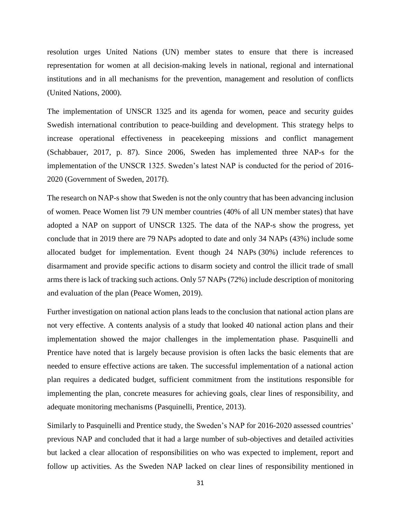resolution urges United Nations (UN) member states to ensure that there is increased representation for women at all decision-making levels in national, regional and international institutions and in all mechanisms for the prevention, management and resolution of conflicts (United Nations, 2000).

The implementation of UNSCR 1325 and its agenda for women, peace and security guides Swedish international contribution to peace-building and development. This strategy helps to increase operational effectiveness in peacekeeping missions and conflict management (Schabbauer, 2017, p. 87). Since 2006, Sweden has implemented three NAP-s for the implementation of the UNSCR 1325. Sweden's latest NAP is conducted for the period of 2016- 2020 (Government of Sweden, 2017f).

The research on NAP-s show that Sweden is not the only country that has been advancing inclusion of women. Peace Women list 79 UN member countries (40% of all UN member states) that have adopted a NAP on support of UNSCR 1325. The data of the NAP-s show the progress, yet conclude that in 2019 there are 79 NAPs adopted to date and only 34 NAPs (43%) include some allocated budget for implementation. Event though 24 NAPs (30%) include references to disarmament and provide specific actions to disarm society and control the illicit trade of small arms there is lack of tracking such actions. Only 57 NAPs (72%) include description of monitoring and evaluation of the plan (Peace Women, 2019).

Further investigation on national action plans leads to the conclusion that national action plans are not very effective. A contents analysis of a study that looked 40 national action plans and their implementation showed the major challenges in the implementation phase. Pasquinelli and Prentice have noted that is largely because provision is often lacks the basic elements that are needed to ensure effective actions are taken. The successful implementation of a national action plan requires a dedicated budget, sufficient commitment from the institutions responsible for implementing the plan, concrete measures for achieving goals, clear lines of responsibility, and adequate monitoring mechanisms (Pasquinelli, Prentice, 2013).

Similarly to Pasquinelli and Prentice study, the Sweden's NAP for 2016-2020 assessed countries' previous NAP and concluded that it had a large number of sub-objectives and detailed activities but lacked a clear allocation of responsibilities on who was expected to implement, report and follow up activities. As the Sweden NAP lacked on clear lines of responsibility mentioned in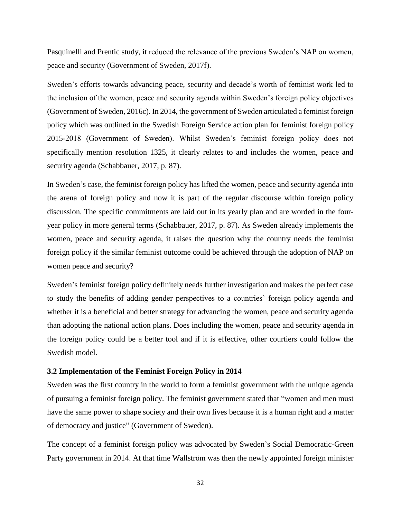Pasquinelli and Prentic study, it reduced the relevance of the previous Sweden's NAP on women, peace and security (Government of Sweden, 2017f).

Sweden's efforts towards advancing peace, security and decade's worth of feminist work led to the inclusion of the women, peace and security agenda within Sweden's foreign policy objectives (Government of Sweden, 2016c). In 2014, the government of Sweden articulated a feminist foreign policy which was outlined in the Swedish Foreign Service action plan for feminist foreign policy 2015-2018 (Government of Sweden). Whilst Sweden's feminist foreign policy does not specifically mention resolution 1325, it clearly relates to and includes the women, peace and security agenda (Schabbauer, 2017, p. 87).

In Sweden's case, the feminist foreign policy has lifted the women, peace and security agenda into the arena of foreign policy and now it is part of the regular discourse within foreign policy discussion. The specific commitments are laid out in its yearly plan and are worded in the fouryear policy in more general terms (Schabbauer, 2017, p. 87). As Sweden already implements the women, peace and security agenda, it raises the question why the country needs the feminist foreign policy if the similar feminist outcome could be achieved through the adoption of NAP on women peace and security?

Sweden's feminist foreign policy definitely needs further investigation and makes the perfect case to study the benefits of adding gender perspectives to a countries' foreign policy agenda and whether it is a beneficial and better strategy for advancing the women, peace and security agenda than adopting the national action plans. Does including the women, peace and security agenda in the foreign policy could be a better tool and if it is effective, other courtiers could follow the Swedish model.

# **3.2 Implementation of the Feminist Foreign Policy in 2014**

Sweden was the first country in the world to form a feminist government with the unique agenda of pursuing a feminist foreign policy. The feminist government stated that "women and men must have the same power to shape society and their own lives because it is a human right and a matter of democracy and justice" (Government of Sweden).

The concept of a feminist foreign policy was advocated by Sweden's Social Democratic-Green Party government in 2014. At that time Wallström was then the newly appointed foreign minister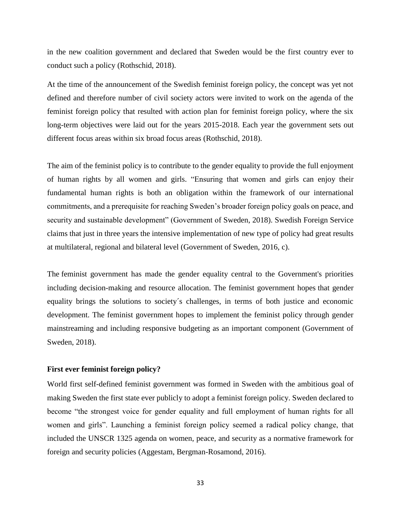in the new coalition government and declared that Sweden would be the first country ever to conduct such a policy (Rothschid, 2018).

At the time of the announcement of the Swedish feminist foreign policy, the concept was yet not defined and therefore number of civil society actors were invited to work on the agenda of the feminist foreign policy that resulted with action plan for feminist foreign policy, where the six long-term objectives were laid out for the years 2015-2018. Each year the government sets out different focus areas within six broad focus areas (Rothschid, 2018).

The aim of the feminist policy is to contribute to the gender equality to provide the full enjoyment of human rights by all women and girls. "Ensuring that women and girls can enjoy their fundamental human rights is both an obligation within the framework of our international commitments, and a prerequisite for reaching Sweden's broader foreign policy goals on peace, and security and sustainable development" (Government of Sweden, 2018). Swedish Foreign Service claims that just in three years the intensive implementation of new type of policy had great results at multilateral, regional and bilateral level (Government of Sweden, 2016, c).

The feminist government has made the gender equality central to the Government's priorities including decision-making and resource allocation. The feminist government hopes that gender equality brings the solutions to society´s challenges, in terms of both justice and economic development. The feminist government hopes to implement the feminist policy through gender mainstreaming and including responsive budgeting as an important component (Government of Sweden, 2018).

# **First ever feminist foreign policy?**

World first self-defined feminist government was formed in Sweden with the ambitious goal of making Sweden the first state ever publicly to adopt a feminist foreign policy. Sweden declared to become "the strongest voice for gender equality and full employment of human rights for all women and girls". Launching a feminist foreign policy seemed a radical policy change, that included the UNSCR 1325 agenda on women, peace, and security as a normative framework for foreign and security policies (Aggestam, Bergman-Rosamond, 2016).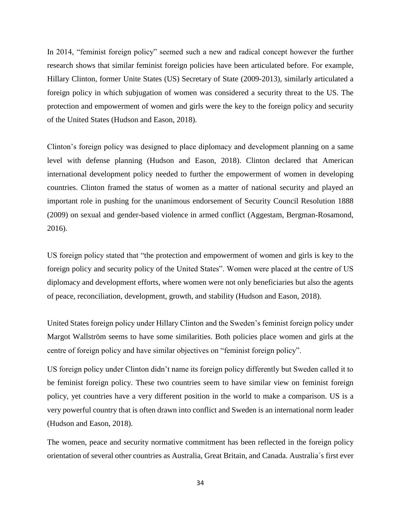In 2014, "feminist foreign policy" seemed such a new and radical concept however the further research shows that similar feminist foreign policies have been articulated before. For example, Hillary Clinton, former Unite States (US) Secretary of State (2009-2013), similarly articulated a foreign policy in which subjugation of women was considered a security threat to the US. The protection and empowerment of women and girls were the key to the foreign policy and security of the United States (Hudson and Eason, 2018).

Clinton's foreign policy was designed to place diplomacy and development planning on a same level with defense planning (Hudson and Eason, 2018). Clinton declared that American international development policy needed to further the empowerment of women in developing countries. Clinton framed the status of women as a matter of national security and played an important role in pushing for the unanimous endorsement of Security Council Resolution 1888 (2009) on sexual and gender-based violence in armed conflict (Aggestam, Bergman-Rosamond, 2016).

US foreign policy stated that "the protection and empowerment of women and girls is key to the foreign policy and security policy of the United States". Women were placed at the centre of US diplomacy and development efforts, where women were not only beneficiaries but also the agents of peace, reconciliation, development, growth, and stability (Hudson and Eason, 2018).

United States foreign policy under Hillary Clinton and the Sweden's feminist foreign policy under Margot Wallström seems to have some similarities. Both policies place women and girls at the centre of foreign policy and have similar objectives on "feminist foreign policy".

US foreign policy under Clinton didn't name its foreign policy differently but Sweden called it to be feminist foreign policy. These two countries seem to have similar view on feminist foreign policy, yet countries have a very different position in the world to make a comparison. US is a very powerful country that is often drawn into conflict and Sweden is an international norm leader (Hudson and Eason, 2018).

The women, peace and security normative commitment has been reflected in the foreign policy orientation of several other countries as Australia, Great Britain, and Canada. Australia´s first ever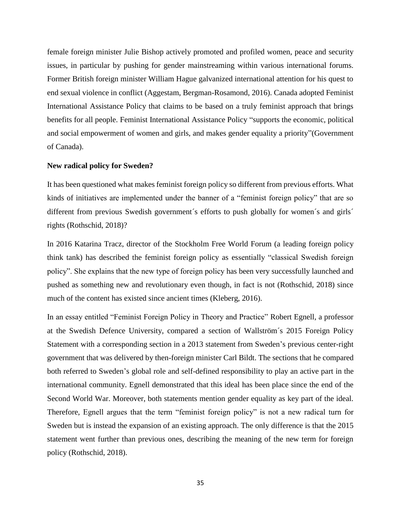female foreign minister Julie Bishop actively promoted and profiled women, peace and security issues, in particular by pushing for gender mainstreaming within various international forums. Former British foreign minister William Hague galvanized international attention for his quest to end sexual violence in conflict (Aggestam, Bergman-Rosamond, 2016). Canada adopted Feminist International Assistance Policy that claims to be based on a truly feminist approach that brings benefits for all people. Feminist International Assistance Policy "supports the economic, political and social empowerment of women and girls, and makes gender equality a priority"(Government of Canada).

## **New radical policy for Sweden?**

It has been questioned what makes feminist foreign policy so different from previous efforts. What kinds of initiatives are implemented under the banner of a "feminist foreign policy" that are so different from previous Swedish government's efforts to push globally for women's and girls' rights (Rothschid, 2018)?

In 2016 Katarina Tracz, director of the Stockholm Free World Forum (a leading foreign policy think tank) has described the feminist foreign policy as essentially "classical Swedish foreign policy". She explains that the new type of foreign policy has been very successfully launched and pushed as something new and revolutionary even though, in fact is not (Rothschid, 2018) since much of the content has existed since ancient times (Kleberg, 2016).

In an essay entitled "Feminist Foreign Policy in Theory and Practice" Robert Egnell, a professor at the Swedish Defence University, compared a section of Wallström´s 2015 Foreign Policy Statement with a corresponding section in a 2013 statement from Sweden's previous center-right government that was delivered by then-foreign minister Carl Bildt. The sections that he compared both referred to Sweden's global role and self-defined responsibility to play an active part in the international community. Egnell demonstrated that this ideal has been place since the end of the Second World War. Moreover, both statements mention gender equality as key part of the ideal. Therefore, Egnell argues that the term "feminist foreign policy" is not a new radical turn for Sweden but is instead the expansion of an existing approach. The only difference is that the 2015 statement went further than previous ones, describing the meaning of the new term for foreign policy (Rothschid, 2018).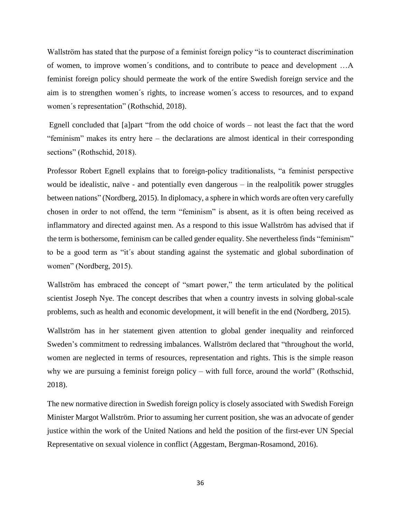Wallström has stated that the purpose of a feminist foreign policy "is to counteract discrimination of women, to improve women´s conditions, and to contribute to peace and development …A feminist foreign policy should permeate the work of the entire Swedish foreign service and the aim is to strengthen women´s rights, to increase women´s access to resources, and to expand women´s representation" (Rothschid, 2018).

Egnell concluded that [a]part "from the odd choice of words – not least the fact that the word "feminism" makes its entry here – the declarations are almost identical in their corresponding sections" (Rothschid, 2018).

Professor Robert Egnell explains that to foreign-policy traditionalists, "a feminist perspective would be idealistic, naïve - and potentially even dangerous – in the realpolitik power struggles between nations" (Nordberg, 2015). In diplomacy, a sphere in which words are often very carefully chosen in order to not offend, the term "feminism" is absent, as it is often being received as inflammatory and directed against men. As a respond to this issue Wallström has advised that if the term is bothersome, feminism can be called gender equality. She nevertheless finds "feminism" to be a good term as "it´s about standing against the systematic and global subordination of women" (Nordberg, 2015).

Wallström has embraced the concept of "smart power," the term articulated by the political scientist Joseph Nye. The concept describes that when a country invests in solving global-scale problems, such as health and economic development, it will benefit in the end (Nordberg, 2015).

Wallström has in her statement given attention to global gender inequality and reinforced Sweden's commitment to redressing imbalances. Wallström declared that "throughout the world, women are neglected in terms of resources, representation and rights. This is the simple reason why we are pursuing a feminist foreign policy – with full force, around the world" (Rothschid, 2018).

The new normative direction in Swedish foreign policy is closely associated with Swedish Foreign Minister Margot Wallström. Prior to assuming her current position, she was an advocate of gender justice within the work of the United Nations and held the position of the first-ever UN Special Representative on sexual violence in conflict (Aggestam, Bergman-Rosamond, 2016).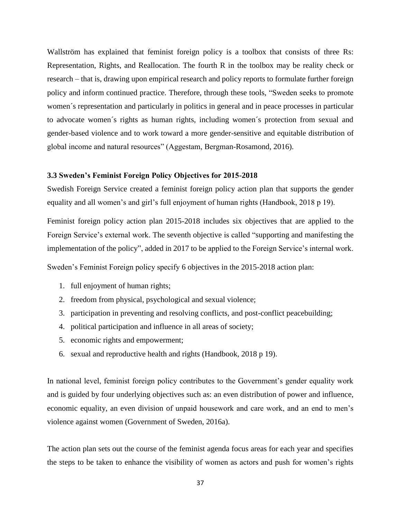Wallström has explained that feminist foreign policy is a toolbox that consists of three Rs: Representation, Rights, and Reallocation. The fourth R in the toolbox may be reality check or research – that is, drawing upon empirical research and policy reports to formulate further foreign policy and inform continued practice. Therefore, through these tools, "Sweden seeks to promote women´s representation and particularly in politics in general and in peace processes in particular to advocate women´s rights as human rights, including women´s protection from sexual and gender-based violence and to work toward a more gender-sensitive and equitable distribution of global income and natural resources" (Aggestam, Bergman-Rosamond, 2016).

# **3.3 Sweden's Feminist Foreign Policy Objectives for 2015-2018**

Swedish Foreign Service created a feminist foreign policy action plan that supports the gender equality and all women's and girl's full enjoyment of human rights (Handbook, 2018 p 19).

Feminist foreign policy action plan 2015-2018 includes six objectives that are applied to the Foreign Service's external work. The seventh objective is called "supporting and manifesting the implementation of the policy", added in 2017 to be applied to the Foreign Service's internal work.

Sweden's Feminist Foreign policy specify 6 objectives in the 2015-2018 action plan:

- 1. full enjoyment of human rights;
- 2. freedom from physical, psychological and sexual violence;
- 3. participation in preventing and resolving conflicts, and post-conflict peacebuilding;
- 4. political participation and influence in all areas of society;
- 5. economic rights and empowerment;
- 6. sexual and reproductive health and rights (Handbook, 2018 p 19).

In national level, feminist foreign policy contributes to the Government's gender equality work and is guided by four underlying objectives such as: an even distribution of power and influence, economic equality, an even division of unpaid housework and care work, and an end to men's violence against women (Government of Sweden, 2016a).

The action plan sets out the course of the feminist agenda focus areas for each year and specifies the steps to be taken to enhance the visibility of women as actors and push for women's rights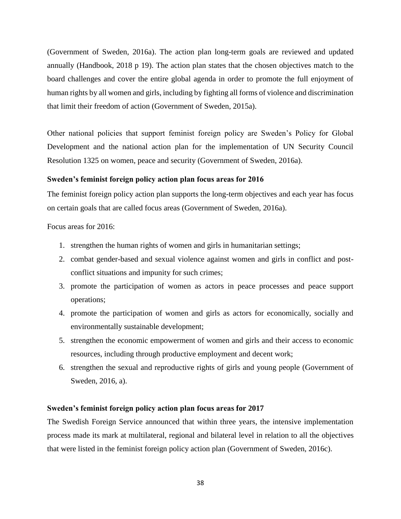(Government of Sweden, 2016a). The action plan long-term goals are reviewed and updated annually (Handbook, 2018 p 19). The action plan states that the chosen objectives match to the board challenges and cover the entire global agenda in order to promote the full enjoyment of human rights by all women and girls, including by fighting all forms of violence and discrimination that limit their freedom of action (Government of Sweden, 2015a).

Other national policies that support feminist foreign policy are Sweden's Policy for Global Development and the national action plan for the implementation of UN Security Council Resolution 1325 on women, peace and security (Government of Sweden, 2016a).

#### **Sweden's feminist foreign policy action plan focus areas for 2016**

The feminist foreign policy action plan supports the long-term objectives and each year has focus on certain goals that are called focus areas (Government of Sweden, 2016a).

Focus areas for 2016:

- 1. strengthen the human rights of women and girls in humanitarian settings;
- 2. combat gender-based and sexual violence against women and girls in conflict and postconflict situations and impunity for such crimes;
- 3. promote the participation of women as actors in peace processes and peace support operations;
- 4. promote the participation of women and girls as actors for economically, socially and environmentally sustainable development;
- 5. strengthen the economic empowerment of women and girls and their access to economic resources, including through productive employment and decent work;
- 6. strengthen the sexual and reproductive rights of girls and young people (Government of Sweden, 2016, a).

# **Sweden's feminist foreign policy action plan focus areas for 2017**

The Swedish Foreign Service announced that within three years, the intensive implementation process made its mark at multilateral, regional and bilateral level in relation to all the objectives that were listed in the feminist foreign policy action plan (Government of Sweden, 2016c).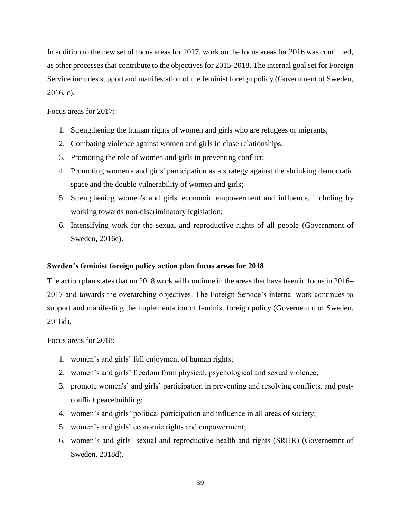In addition to the new set of focus areas for 2017, work on the focus areas for 2016 was continued, as other processes that contribute to the objectives for 2015-2018. The internal goal set for Foreign Service includes support and manifestation of the feminist foreign policy (Government of Sweden, 2016, c).

Focus areas for 2017:

- 1. Strengthening the human rights of women and girls who are refugees or migrants;
- 2. Combating violence against women and girls in close relationships;
- 3. Promoting the role of women and girls in preventing conflict;
- 4. Promoting women's and girls' participation as a strategy against the shrinking democratic space and the double vulnerability of women and girls;
- 5. Strengthening women's and girls' economic empowerment and influence, including by working towards non-discriminatory legislation;
- 6. Intensifying work for the sexual and reproductive rights of all people (Government of Sweden, 2016c).

# **Sweden's feminist foreign policy action plan focus areas for 2018**

The action plan states that nn 2018 work will continue in the areas that have been in focus in 2016– 2017 and towards the overarching objectives. The Foreign Service's internal work continues to support and manifesting the implementation of feminist foreign policy (Governemnt of Sweden, 2018d).

Focus areas for 2018:

- 1. women's and girls' full enjoyment of human rights;
- 2. women's and girls' freedom from physical, psychological and sexual violence;
- 3. promote women's' and girls' participation in preventing and resolving conflicts, and postconflict peacebuilding;
- 4. women's and girls' political participation and influence in all areas of society;
- 5. women's and girls' economic rights and empowerment;
- 6. women's and girls' sexual and reproductive health and rights (SRHR) (Governemnt of Sweden, 2018d).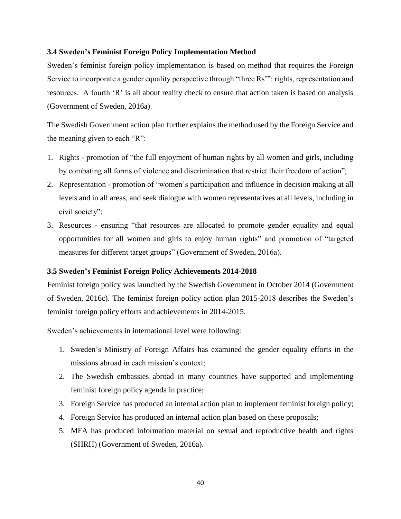# **3.4 Sweden's Feminist Foreign Policy Implementation Method**

Sweden's feminist foreign policy implementation is based on method that requires the Foreign Service to incorporate a gender equality perspective through "three Rs"": rights, representation and resources. A fourth 'R' is all about reality check to ensure that action taken is based on analysis (Government of Sweden, 2016a).

The Swedish Government action plan further explains the method used by the Foreign Service and the meaning given to each "R":

- 1. Rights promotion of "the full enjoyment of human rights by all women and girls, including by combating all forms of violence and discrimination that restrict their freedom of action";
- 2. Representation promotion of "women's participation and influence in decision making at all levels and in all areas, and seek dialogue with women representatives at all levels, including in civil society";
- 3. Resources ensuring "that resources are allocated to promote gender equality and equal opportunities for all women and girls to enjoy human rights" and promotion of "targeted measures for different target groups" (Government of Sweden, 2016a).

## **3.5 Sweden's Feminist Foreign Policy Achievements 2014-2018**

Feminist foreign policy was launched by the Swedish Government in October 2014 (Government of Sweden, 2016c). The feminist foreign policy action plan 2015-2018 describes the Sweden's feminist foreign policy efforts and achievements in 2014-2015.

Sweden's achievements in international level were following:

- 1. Sweden's Ministry of Foreign Affairs has examined the gender equality efforts in the missions abroad in each mission's context;
- 2. The Swedish embassies abroad in many countries have supported and implementing feminist foreign policy agenda in practice;
- 3. Foreign Service has produced an internal action plan to implement feminist foreign policy;
- 4. Foreign Service has produced an internal action plan based on these proposals;
- 5. MFA has produced information material on sexual and reproductive health and rights (SHRH) (Government of Sweden, 2016a).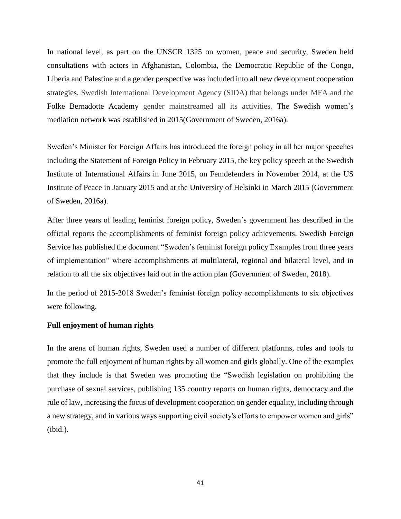In national level, as part on the UNSCR 1325 on women, peace and security, Sweden held consultations with actors in Afghanistan, Colombia, the Democratic Republic of the Congo, Liberia and Palestine and a gender perspective was included into all new development cooperation strategies. Swedish International Development Agency (SIDA) that belongs under MFA and the Folke Bernadotte Academy gender mainstreamed all its activities. The Swedish women's mediation network was established in 2015(Government of Sweden, 2016a).

Sweden's Minister for Foreign Affairs has introduced the foreign policy in all her major speeches including the Statement of Foreign Policy in February 2015, the key policy speech at the Swedish Institute of International Affairs in June 2015, on Femdefenders in November 2014, at the US Institute of Peace in January 2015 and at the University of Helsinki in March 2015 (Government of Sweden, 2016a).

After three years of leading feminist foreign policy, Sweden´s government has described in the official reports the accomplishments of feminist foreign policy achievements. Swedish Foreign Service has published the document "Sweden's feminist foreign policy Examples from three years of implementation" where accomplishments at multilateral, regional and bilateral level, and in relation to all the six objectives laid out in the action plan (Government of Sweden, 2018).

In the period of 2015-2018 Sweden's feminist foreign policy accomplishments to six objectives were following.

# **Full enjoyment of human rights**

In the arena of human rights, Sweden used a number of different platforms, roles and tools to promote the full enjoyment of human rights by all women and girls globally. One of the examples that they include is that Sweden was promoting the "Swedish legislation on prohibiting the purchase of sexual services, publishing 135 country reports on human rights, democracy and the rule of law, increasing the focus of development cooperation on gender equality, including through a new strategy, and in various ways supporting civil society's efforts to empower women and girls" (ibid.).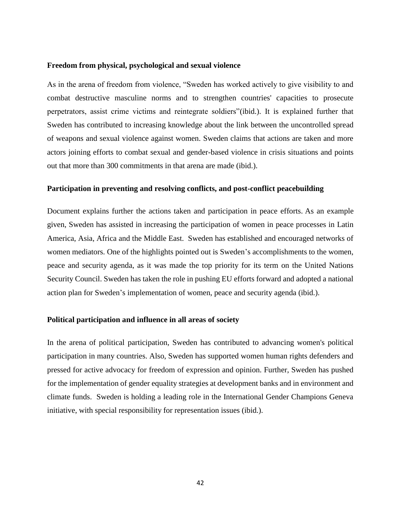#### **Freedom from physical, psychological and sexual violence**

As in the arena of freedom from violence, "Sweden has worked actively to give visibility to and combat destructive masculine norms and to strengthen countries' capacities to prosecute perpetrators, assist crime victims and reintegrate soldiers"(ibid.). It is explained further that Sweden has contributed to increasing knowledge about the link between the uncontrolled spread of weapons and sexual violence against women. Sweden claims that actions are taken and more actors joining efforts to combat sexual and gender-based violence in crisis situations and points out that more than 300 commitments in that arena are made (ibid.).

# **Participation in preventing and resolving conflicts, and post-conflict peacebuilding**

Document explains further the actions taken and participation in peace efforts. As an example given, Sweden has assisted in increasing the participation of women in peace processes in Latin America, Asia, Africa and the Middle East. Sweden has established and encouraged networks of women mediators. One of the highlights pointed out is Sweden's accomplishments to the women, peace and security agenda, as it was made the top priority for its term on the United Nations Security Council. Sweden has taken the role in pushing EU efforts forward and adopted a national action plan for Sweden's implementation of women, peace and security agenda (ibid.).

#### **Political participation and influence in all areas of society**

In the arena of political participation, Sweden has contributed to advancing women's political participation in many countries. Also, Sweden has supported women human rights defenders and pressed for active advocacy for freedom of expression and opinion. Further, Sweden has pushed for the implementation of gender equality strategies at development banks and in environment and climate funds. Sweden is holding a leading role in the International Gender Champions Geneva initiative, with special responsibility for representation issues (ibid.).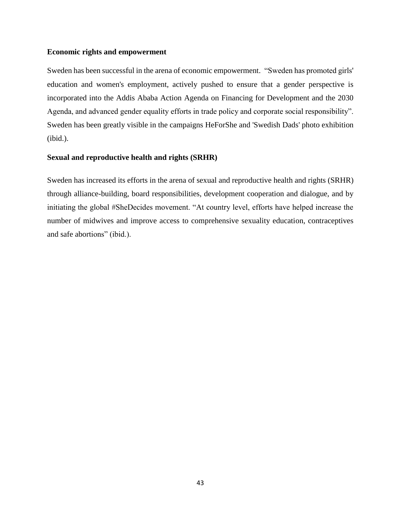# **Economic rights and empowerment**

Sweden has been successful in the arena of economic empowerment. "Sweden has promoted girls' education and women's employment, actively pushed to ensure that a gender perspective is incorporated into the Addis Ababa Action Agenda on Financing for Development and the 2030 Agenda, and advanced gender equality efforts in trade policy and corporate social responsibility". Sweden has been greatly visible in the campaigns HeForShe and 'Swedish Dads' photo exhibition (ibid.).

# **Sexual and reproductive health and rights (SRHR)**

Sweden has increased its efforts in the arena of sexual and reproductive health and rights (SRHR) through alliance-building, board responsibilities, development cooperation and dialogue, and by initiating the global #SheDecides movement. "At country level, efforts have helped increase the number of midwives and improve access to comprehensive sexuality education, contraceptives and safe abortions" (ibid.).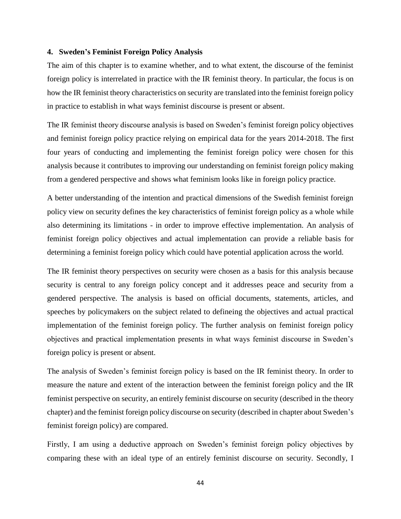#### **4. Sweden's Feminist Foreign Policy Analysis**

The aim of this chapter is to examine whether, and to what extent, the discourse of the feminist foreign policy is interrelated in practice with the IR feminist theory. In particular, the focus is on how the IR feminist theory characteristics on security are translated into the feminist foreign policy in practice to establish in what ways feminist discourse is present or absent.

The IR feminist theory discourse analysis is based on Sweden's feminist foreign policy objectives and feminist foreign policy practice relying on empirical data for the years 2014-2018. The first four years of conducting and implementing the feminist foreign policy were chosen for this analysis because it contributes to improving our understanding on feminist foreign policy making from a gendered perspective and shows what feminism looks like in foreign policy practice.

A better understanding of the intention and practical dimensions of the Swedish feminist foreign policy view on security defines the key characteristics of feminist foreign policy as a whole while also determining its limitations - in order to improve effective implementation. An analysis of feminist foreign policy objectives and actual implementation can provide a reliable basis for determining a feminist foreign policy which could have potential application across the world.

The IR feminist theory perspectives on security were chosen as a basis for this analysis because security is central to any foreign policy concept and it addresses peace and security from a gendered perspective. The analysis is based on official documents, statements, articles, and speeches by policymakers on the subject related to defineing the objectives and actual practical implementation of the feminist foreign policy. The further analysis on feminist foreign policy objectives and practical implementation presents in what ways feminist discourse in Sweden's foreign policy is present or absent.

The analysis of Sweden's feminist foreign policy is based on the IR feminist theory. In order to measure the nature and extent of the interaction between the feminist foreign policy and the IR feminist perspective on security, an entirely feminist discourse on security (described in the theory chapter) and the feminist foreign policy discourse on security (described in chapter about Sweden's feminist foreign policy) are compared.

Firstly, I am using a deductive approach on Sweden's feminist foreign policy objectives by comparing these with an ideal type of an entirely feminist discourse on security. Secondly, I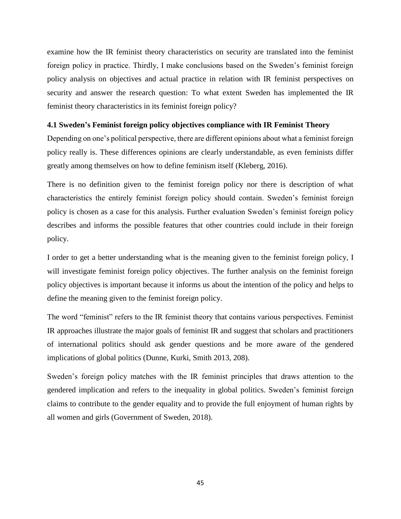examine how the IR feminist theory characteristics on security are translated into the feminist foreign policy in practice. Thirdly, I make conclusions based on the Sweden's feminist foreign policy analysis on objectives and actual practice in relation with IR feminist perspectives on security and answer the research question: To what extent Sweden has implemented the IR feminist theory characteristics in its feminist foreign policy?

# **4.1 Sweden's Feminist foreign policy objectives compliance with IR Feminist Theory**

Depending on one's political perspective, there are different opinions about what a feminist foreign policy really is. These differences opinions are clearly understandable, as even feminists differ greatly among themselves on how to define feminism itself (Kleberg, 2016).

There is no definition given to the feminist foreign policy nor there is description of what characteristics the entirely feminist foreign policy should contain. Sweden's feminist foreign policy is chosen as a case for this analysis. Further evaluation Sweden's feminist foreign policy describes and informs the possible features that other countries could include in their foreign policy.

I order to get a better understanding what is the meaning given to the feminist foreign policy, I will investigate feminist foreign policy objectives. The further analysis on the feminist foreign policy objectives is important because it informs us about the intention of the policy and helps to define the meaning given to the feminist foreign policy.

The word "feminist" refers to the IR feminist theory that contains various perspectives. Feminist IR approaches illustrate the major goals of feminist IR and suggest that scholars and practitioners of international politics should ask gender questions and be more aware of the gendered implications of global politics (Dunne, Kurki, Smith 2013, 208).

Sweden's foreign policy matches with the IR feminist principles that draws attention to the gendered implication and refers to the inequality in global politics. Sweden's feminist foreign claims to contribute to the gender equality and to provide the full enjoyment of human rights by all women and girls (Government of Sweden, 2018).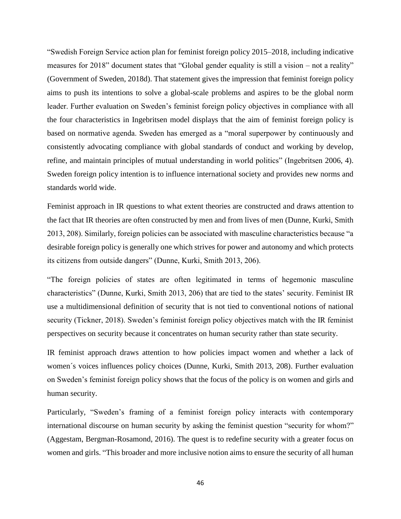"Swedish Foreign Service action plan for feminist foreign policy 2015–2018, including indicative measures for 2018" document states that "Global gender equality is still a vision – not a reality" (Government of Sweden, 2018d). That statement gives the impression that feminist foreign policy aims to push its intentions to solve a global-scale problems and aspires to be the global norm leader. Further evaluation on Sweden's feminist foreign policy objectives in compliance with all the four characteristics in Ingebritsen model displays that the aim of feminist foreign policy is based on normative agenda. Sweden has emerged as a "moral superpower by continuously and consistently advocating compliance with global standards of conduct and working by develop, refine, and maintain principles of mutual understanding in world politics" (Ingebritsen 2006, 4). Sweden foreign policy intention is to influence international society and provides new norms and standards world wide.

Feminist approach in IR questions to what extent theories are constructed and draws attention to the fact that IR theories are often constructed by men and from lives of men (Dunne, Kurki, Smith 2013, 208). Similarly, foreign policies can be associated with masculine characteristics because "a desirable foreign policy is generally one which strives for power and autonomy and which protects its citizens from outside dangers" (Dunne, Kurki, Smith 2013, 206).

"The foreign policies of states are often legitimated in terms of hegemonic masculine characteristics" (Dunne, Kurki, Smith 2013, 206) that are tied to the states' security. Feminist IR use a multidimensional definition of security that is not tied to conventional notions of national security (Tickner, 2018). Sweden's feminist foreign policy objectives match with the IR feminist perspectives on security because it concentrates on human security rather than state security.

IR feminist approach draws attention to how policies impact women and whether a lack of women´s voices influences policy choices (Dunne, Kurki, Smith 2013, 208). Further evaluation on Sweden's feminist foreign policy shows that the focus of the policy is on women and girls and human security.

Particularly, "Sweden's framing of a feminist foreign policy interacts with contemporary international discourse on human security by asking the feminist question "security for whom?" (Aggestam, Bergman-Rosamond, 2016). The quest is to redefine security with a greater focus on women and girls. "This broader and more inclusive notion aims to ensure the security of all human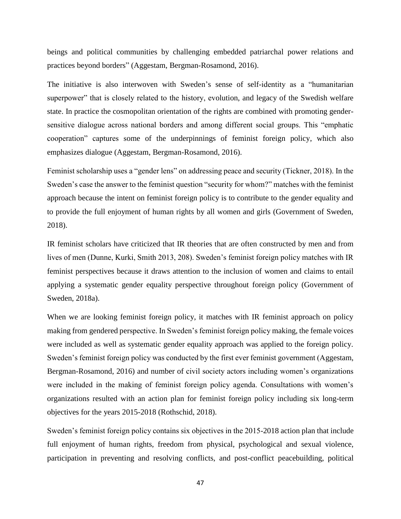beings and political communities by challenging embedded patriarchal power relations and practices beyond borders" (Aggestam, Bergman-Rosamond, 2016).

The initiative is also interwoven with Sweden's sense of self-identity as a "humanitarian superpower" that is closely related to the history, evolution, and legacy of the Swedish welfare state. In practice the cosmopolitan orientation of the rights are combined with promoting gendersensitive dialogue across national borders and among different social groups. This "emphatic cooperation" captures some of the underpinnings of feminist foreign policy, which also emphasizes dialogue (Aggestam, Bergman-Rosamond, 2016).

Feminist scholarship uses a "gender lens" on addressing peace and security (Tickner, 2018). In the Sweden's case the answer to the feminist question "security for whom?" matches with the feminist approach because the intent on feminist foreign policy is to contribute to the gender equality and to provide the full enjoyment of human rights by all women and girls (Government of Sweden, 2018).

IR feminist scholars have criticized that IR theories that are often constructed by men and from lives of men (Dunne, Kurki, Smith 2013, 208). Sweden's feminist foreign policy matches with IR feminist perspectives because it draws attention to the inclusion of women and claims to entail applying a systematic gender equality perspective throughout foreign policy (Government of Sweden, 2018a).

When we are looking feminist foreign policy, it matches with IR feminist approach on policy making from gendered perspective. In Sweden's feminist foreign policy making, the female voices were included as well as systematic gender equality approach was applied to the foreign policy. Sweden's feminist foreign policy was conducted by the first ever feminist government (Aggestam, Bergman-Rosamond, 2016) and number of civil society actors including women's organizations were included in the making of feminist foreign policy agenda. Consultations with women's organizations resulted with an action plan for feminist foreign policy including six long-term objectives for the years 2015-2018 (Rothschid, 2018).

Sweden's feminist foreign policy contains six objectives in the 2015-2018 action plan that include full enjoyment of human rights, freedom from physical, psychological and sexual violence, participation in preventing and resolving conflicts, and post-conflict peacebuilding, political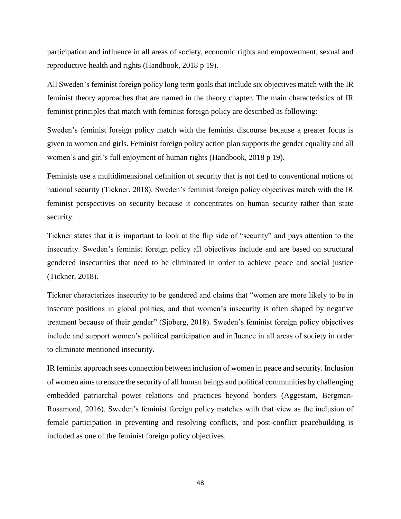participation and influence in all areas of society, economic rights and empowerment, sexual and reproductive health and rights (Handbook, 2018 p 19).

All Sweden's feminist foreign policy long term goals that include six objectives match with the IR feminist theory approaches that are named in the theory chapter. The main characteristics of IR feminist principles that match with feminist foreign policy are described as following:

Sweden's feminist foreign policy match with the feminist discourse because a greater focus is given to women and girls. Feminist foreign policy action plan supports the gender equality and all women's and girl's full enjoyment of human rights (Handbook, 2018 p 19).

Feminists use a multidimensional definition of security that is not tied to conventional notions of national security (Tickner, 2018). Sweden's feminist foreign policy objectives match with the IR feminist perspectives on security because it concentrates on human security rather than state security.

Tickner states that it is important to look at the flip side of "security" and pays attention to the insecurity. Sweden's feminist foreign policy all objectives include and are based on structural gendered insecurities that need to be eliminated in order to achieve peace and social justice (Tickner, 2018).

Tickner characterizes insecurity to be gendered and claims that "women are more likely to be in insecure positions in global politics, and that women's insecurity is often shaped by negative treatment because of their gender" (Sjoberg, 2018). Sweden's feminist foreign policy objectives include and support women's political participation and influence in all areas of society in order to eliminate mentioned insecurity.

IR feminist approach sees connection between inclusion of women in peace and security. Inclusion of women aims to ensure the security of all human beings and political communities by challenging embedded patriarchal power relations and practices beyond borders (Aggestam, Bergman-Rosamond, 2016). Sweden's feminist foreign policy matches with that view as the inclusion of female participation in preventing and resolving conflicts, and post-conflict peacebuilding is included as one of the feminist foreign policy objectives.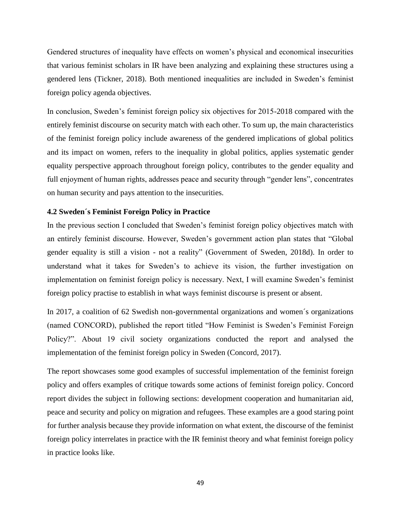Gendered structures of inequality have effects on women's physical and economical insecurities that various feminist scholars in IR have been analyzing and explaining these structures using a gendered lens (Tickner, 2018). Both mentioned inequalities are included in Sweden's feminist foreign policy agenda objectives.

In conclusion, Sweden's feminist foreign policy six objectives for 2015-2018 compared with the entirely feminist discourse on security match with each other. To sum up, the main characteristics of the feminist foreign policy include awareness of the gendered implications of global politics and its impact on women, refers to the inequality in global politics, applies systematic gender equality perspective approach throughout foreign policy, contributes to the gender equality and full enjoyment of human rights, addresses peace and security through "gender lens", concentrates on human security and pays attention to the insecurities.

# **4.2 Sweden´s Feminist Foreign Policy in Practice**

In the previous section I concluded that Sweden's feminist foreign policy objectives match with an entirely feminist discourse. However, Sweden's government action plan states that "Global gender equality is still a vision - not a reality" (Government of Sweden, 2018d). In order to understand what it takes for Sweden's to achieve its vision, the further investigation on implementation on feminist foreign policy is necessary. Next, I will examine Sweden's feminist foreign policy practise to establish in what ways feminist discourse is present or absent.

In 2017, a coalition of 62 Swedish non-governmental organizations and women´s organizations (named CONCORD), published the report titled "How Feminist is Sweden's Feminist Foreign Policy?". About 19 civil society organizations conducted the report and analysed the implementation of the feminist foreign policy in Sweden (Concord, 2017).

The report showcases some good examples of successful implementation of the feminist foreign policy and offers examples of critique towards some actions of feminist foreign policy. Concord report divides the subject in following sections: development cooperation and humanitarian aid, peace and security and policy on migration and refugees. These examples are a good staring point for further analysis because they provide information on what extent, the discourse of the feminist foreign policy interrelates in practice with the IR feminist theory and what feminist foreign policy in practice looks like.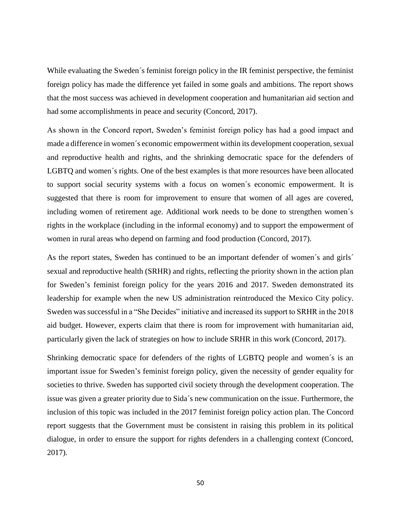While evaluating the Sweden´s feminist foreign policy in the IR feminist perspective, the feminist foreign policy has made the difference yet failed in some goals and ambitions. The report shows that the most success was achieved in development cooperation and humanitarian aid section and had some accomplishments in peace and security (Concord, 2017).

As shown in the Concord report, Sweden's feminist foreign policy has had a good impact and made a difference in women´s economic empowerment within its development cooperation, sexual and reproductive health and rights, and the shrinking democratic space for the defenders of LGBTQ and women´s rights. One of the best examples is that more resources have been allocated to support social security systems with a focus on women´s economic empowerment. It is suggested that there is room for improvement to ensure that women of all ages are covered, including women of retirement age. Additional work needs to be done to strengthen women´s rights in the workplace (including in the informal economy) and to support the empowerment of women in rural areas who depend on farming and food production (Concord, 2017).

As the report states, Sweden has continued to be an important defender of women's and girls' sexual and reproductive health (SRHR) and rights, reflecting the priority shown in the action plan for Sweden's feminist foreign policy for the years 2016 and 2017. Sweden demonstrated its leadership for example when the new US administration reintroduced the Mexico City policy. Sweden was successful in a "She Decides" initiative and increased its support to SRHR in the 2018 aid budget. However, experts claim that there is room for improvement with humanitarian aid, particularly given the lack of strategies on how to include SRHR in this work (Concord, 2017).

Shrinking democratic space for defenders of the rights of LGBTQ people and women´s is an important issue for Sweden's feminist foreign policy, given the necessity of gender equality for societies to thrive. Sweden has supported civil society through the development cooperation. The issue was given a greater priority due to Sida´s new communication on the issue. Furthermore, the inclusion of this topic was included in the 2017 feminist foreign policy action plan. The Concord report suggests that the Government must be consistent in raising this problem in its political dialogue, in order to ensure the support for rights defenders in a challenging context (Concord, 2017).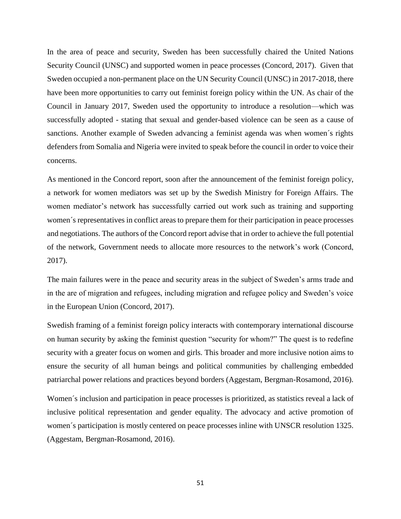In the area of peace and security, Sweden has been successfully chaired the United Nations Security Council (UNSC) and supported women in peace processes (Concord, 2017). Given that Sweden occupied a non-permanent place on the UN Security Council (UNSC) in 2017-2018, there have been more opportunities to carry out feminist foreign policy within the UN. As chair of the Council in January 2017, Sweden used the opportunity to introduce a resolution—which was successfully adopted - stating that sexual and gender-based violence can be seen as a cause of sanctions. Another example of Sweden advancing a feminist agenda was when women´s rights defenders from Somalia and Nigeria were invited to speak before the council in order to voice their concerns.

As mentioned in the Concord report, soon after the announcement of the feminist foreign policy, a network for women mediators was set up by the Swedish Ministry for Foreign Affairs. The women mediator's network has successfully carried out work such as training and supporting women´s representatives in conflict areas to prepare them for their participation in peace processes and negotiations. The authors of the Concord report advise that in order to achieve the full potential of the network, Government needs to allocate more resources to the network's work (Concord, 2017).

The main failures were in the peace and security areas in the subject of Sweden's arms trade and in the are of migration and refugees, including migration and refugee policy and Sweden's voice in the European Union (Concord, 2017).

Swedish framing of a feminist foreign policy interacts with contemporary international discourse on human security by asking the feminist question "security for whom?" The quest is to redefine security with a greater focus on women and girls. This broader and more inclusive notion aims to ensure the security of all human beings and political communities by challenging embedded patriarchal power relations and practices beyond borders (Aggestam, Bergman-Rosamond, 2016).

Women´s inclusion and participation in peace processes is prioritized, as statistics reveal a lack of inclusive political representation and gender equality. The advocacy and active promotion of women´s participation is mostly centered on peace processes inline with UNSCR resolution 1325. (Aggestam, Bergman-Rosamond, 2016).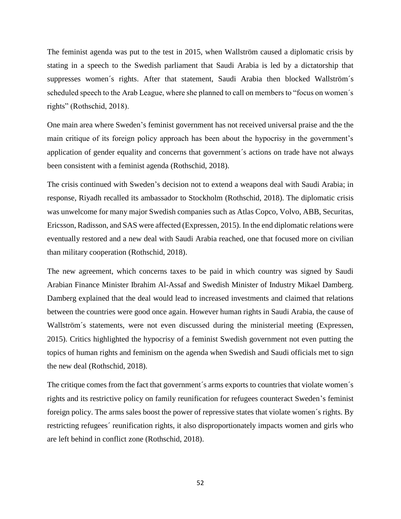The feminist agenda was put to the test in 2015, when Wallström caused a diplomatic crisis by stating in a speech to the Swedish parliament that Saudi Arabia is led by a dictatorship that suppresses women´s rights. After that statement, Saudi Arabia then blocked Wallström´s scheduled speech to the Arab League, where she planned to call on members to "focus on women´s rights" (Rothschid, 2018).

One main area where Sweden's feminist government has not received universal praise and the the main critique of its foreign policy approach has been about the hypocrisy in the government's application of gender equality and concerns that government´s actions on trade have not always been consistent with a feminist agenda (Rothschid, 2018).

The crisis continued with Sweden's decision not to extend a weapons deal with Saudi Arabia; in response, Riyadh recalled its ambassador to Stockholm (Rothschid, 2018). The diplomatic crisis was unwelcome for many major Swedish companies such as Atlas Copco, Volvo, ABB, Securitas, Ericsson, Radisson, and SAS were affected (Expressen, 2015). In the end diplomatic relations were eventually restored and a new deal with Saudi Arabia reached, one that focused more on civilian than military cooperation (Rothschid, 2018).

The new agreement, which concerns taxes to be paid in which country was signed by Saudi Arabian Finance Minister Ibrahim Al-Assaf and Swedish Minister of Industry Mikael Damberg. Damberg explained that the deal would lead to increased investments and claimed that relations between the countries were good once again. However human rights in Saudi Arabia, the cause of Wallström´s statements, were not even discussed during the ministerial meeting (Expressen, 2015). Critics highlighted the hypocrisy of a feminist Swedish government not even putting the topics of human rights and feminism on the agenda when Swedish and Saudi officials met to sign the new deal (Rothschid, 2018).

The critique comes from the fact that government´s arms exports to countries that violate women´s rights and its restrictive policy on family reunification for refugees counteract Sweden's feminist foreign policy. The arms sales boost the power of repressive states that violate women´s rights. By restricting refugees´ reunification rights, it also disproportionately impacts women and girls who are left behind in conflict zone (Rothschid, 2018).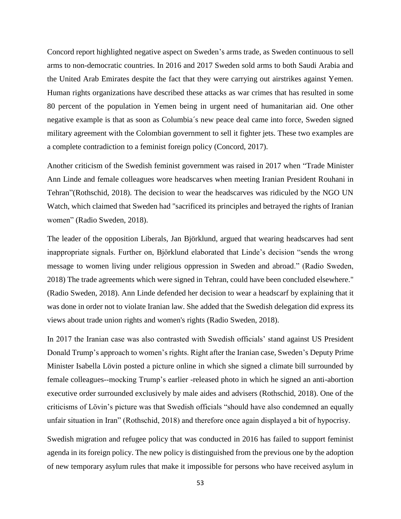Concord report highlighted negative aspect on Sweden's arms trade, as Sweden continuous to sell arms to non-democratic countries. In 2016 and 2017 Sweden sold arms to both Saudi Arabia and the United Arab Emirates despite the fact that they were carrying out airstrikes against Yemen. Human rights organizations have described these attacks as war crimes that has resulted in some 80 percent of the population in Yemen being in urgent need of humanitarian aid. One other negative example is that as soon as Columbia´s new peace deal came into force, Sweden signed military agreement with the Colombian government to sell it fighter jets. These two examples are a complete contradiction to a feminist foreign policy (Concord, 2017).

Another criticism of the Swedish feminist government was raised in 2017 when "Trade Minister Ann Linde and female colleagues wore headscarves when meeting Iranian President Rouhani in Tehran"(Rothschid, 2018). The decision to wear the headscarves was ridiculed by the NGO UN Watch, which claimed that Sweden had "sacrificed its principles and betrayed the rights of Iranian women" (Radio Sweden, 2018).

The leader of the opposition Liberals, Jan Björklund, argued that wearing headscarves had sent inappropriate signals. Further on, Björklund elaborated that Linde's decision "sends the wrong message to women living under religious oppression in Sweden and abroad." (Radio Sweden, 2018) The trade agreements which were signed in Tehran, could have been concluded elsewhere." (Radio Sweden, 2018). Ann Linde defended her decision to wear a headscarf by explaining that it was done in order not to violate Iranian law. She added that the Swedish delegation did express its views about trade union rights and women's rights (Radio Sweden, 2018).

In 2017 the Iranian case was also contrasted with Swedish officials' stand against US President Donald Trump's approach to women's rights. Right after the Iranian case, Sweden's Deputy Prime Minister Isabella Lövin posted a picture online in which she signed a climate bill surrounded by female colleagues--mocking Trump's earlier -released photo in which he signed an anti-abortion executive order surrounded exclusively by male aides and advisers (Rothschid, 2018). One of the criticisms of Lövin's picture was that Swedish officials "should have also condemned an equally unfair situation in Iran" (Rothschid, 2018) and therefore once again displayed a bit of hypocrisy.

Swedish migration and refugee policy that was conducted in 2016 has failed to support feminist agenda in its foreign policy. The new policy is distinguished from the previous one by the adoption of new temporary asylum rules that make it impossible for persons who have received asylum in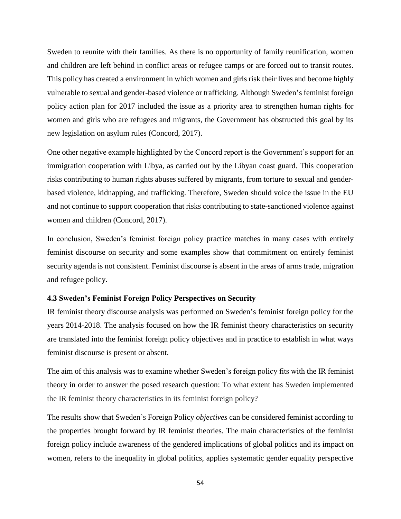Sweden to reunite with their families. As there is no opportunity of family reunification, women and children are left behind in conflict areas or refugee camps or are forced out to transit routes. This policy has created a environment in which women and girls risk their lives and become highly vulnerable to sexual and gender-based violence or trafficking. Although Sweden's feminist foreign policy action plan for 2017 included the issue as a priority area to strengthen human rights for women and girls who are refugees and migrants, the Government has obstructed this goal by its new legislation on asylum rules (Concord, 2017).

One other negative example highlighted by the Concord report is the Government's support for an immigration cooperation with Libya, as carried out by the Libyan coast guard. This cooperation risks contributing to human rights abuses suffered by migrants, from torture to sexual and genderbased violence, kidnapping, and trafficking. Therefore, Sweden should voice the issue in the EU and not continue to support cooperation that risks contributing to state-sanctioned violence against women and children (Concord, 2017).

In conclusion, Sweden's feminist foreign policy practice matches in many cases with entirely feminist discourse on security and some examples show that commitment on entirely feminist security agenda is not consistent. Feminist discourse is absent in the areas of arms trade, migration and refugee policy.

#### **4.3 Sweden's Feminist Foreign Policy Perspectives on Security**

IR feminist theory discourse analysis was performed on Sweden's feminist foreign policy for the years 2014-2018. The analysis focused on how the IR feminist theory characteristics on security are translated into the feminist foreign policy objectives and in practice to establish in what ways feminist discourse is present or absent.

The aim of this analysis was to examine whether Sweden's foreign policy fits with the IR feminist theory in order to answer the posed research question: To what extent has Sweden implemented the IR feminist theory characteristics in its feminist foreign policy?

The results show that Sweden's Foreign Policy *objectives* can be considered feminist according to the properties brought forward by IR feminist theories. The main characteristics of the feminist foreign policy include awareness of the gendered implications of global politics and its impact on women, refers to the inequality in global politics, applies systematic gender equality perspective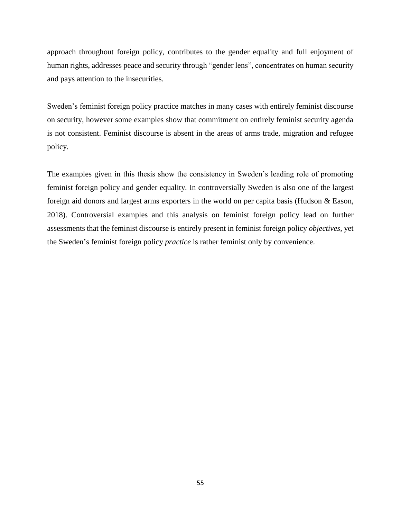approach throughout foreign policy, contributes to the gender equality and full enjoyment of human rights, addresses peace and security through "gender lens", concentrates on human security and pays attention to the insecurities.

Sweden's feminist foreign policy practice matches in many cases with entirely feminist discourse on security, however some examples show that commitment on entirely feminist security agenda is not consistent. Feminist discourse is absent in the areas of arms trade, migration and refugee policy.

The examples given in this thesis show the consistency in Sweden's leading role of promoting feminist foreign policy and gender equality. In controversially Sweden is also one of the largest foreign aid donors and largest arms exporters in the world on per capita basis (Hudson & Eason, 2018). Controversial examples and this analysis on feminist foreign policy lead on further assessments that the feminist discourse is entirely present in feminist foreign policy *objectives*, yet the Sweden's feminist foreign policy *practice* is rather feminist only by convenience.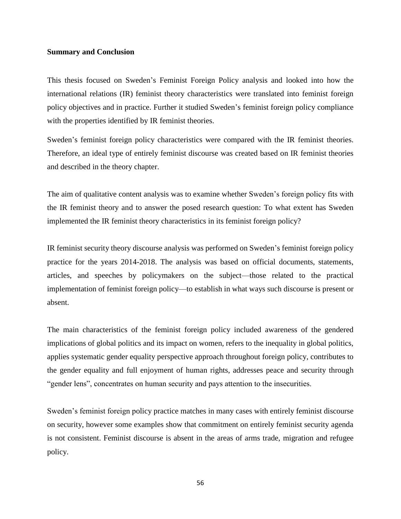# **Summary and Conclusion**

This thesis focused on Sweden's Feminist Foreign Policy analysis and looked into how the international relations (IR) feminist theory characteristics were translated into feminist foreign policy objectives and in practice. Further it studied Sweden's feminist foreign policy compliance with the properties identified by IR feminist theories.

Sweden's feminist foreign policy characteristics were compared with the IR feminist theories. Therefore, an ideal type of entirely feminist discourse was created based on IR feminist theories and described in the theory chapter.

The aim of qualitative content analysis was to examine whether Sweden's foreign policy fits with the IR feminist theory and to answer the posed research question: To what extent has Sweden implemented the IR feminist theory characteristics in its feminist foreign policy?

IR feminist security theory discourse analysis was performed on Sweden's feminist foreign policy practice for the years 2014-2018. The analysis was based on official documents, statements, articles, and speeches by policymakers on the subject—those related to the practical implementation of feminist foreign policy—to establish in what ways such discourse is present or absent.

The main characteristics of the feminist foreign policy included awareness of the gendered implications of global politics and its impact on women, refers to the inequality in global politics, applies systematic gender equality perspective approach throughout foreign policy, contributes to the gender equality and full enjoyment of human rights, addresses peace and security through "gender lens", concentrates on human security and pays attention to the insecurities.

Sweden's feminist foreign policy practice matches in many cases with entirely feminist discourse on security, however some examples show that commitment on entirely feminist security agenda is not consistent. Feminist discourse is absent in the areas of arms trade, migration and refugee policy.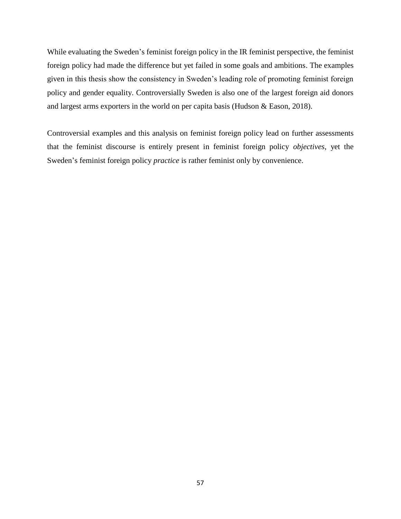While evaluating the Sweden's feminist foreign policy in the IR feminist perspective, the feminist foreign policy had made the difference but yet failed in some goals and ambitions. The examples given in this thesis show the consistency in Sweden's leading role of promoting feminist foreign policy and gender equality. Controversially Sweden is also one of the largest foreign aid donors and largest arms exporters in the world on per capita basis (Hudson & Eason, 2018).

Controversial examples and this analysis on feminist foreign policy lead on further assessments that the feminist discourse is entirely present in feminist foreign policy *objectives*, yet the Sweden's feminist foreign policy *practice* is rather feminist only by convenience.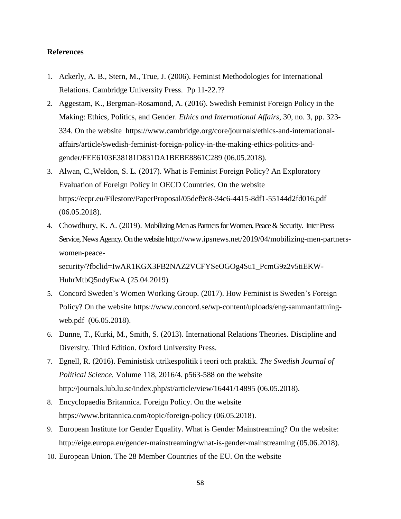# **References**

- 1. Ackerly, A. B., Stern, M., True, J. (2006). Feminist Methodologies for International Relations. Cambridge University Press. Pp 11-22.??
- 2. Aggestam, K., Bergman-Rosamond, A. (2016). Swedish Feminist Foreign Policy in the Making: Ethics, Politics, and Gender. *Ethics and International Affairs*, 30, no. 3, pp. 323- 334. On the website https://www.cambridge.org/core/journals/ethics-and-internationalaffairs/article/swedish-feminist-foreign-policy-in-the-making-ethics-politics-andgender/FEE6103E38181D831DA1BEBE8861C289 (06.05.2018).
- 3. Alwan, C.,Weldon, S. L. (2017). What is Feminist Foreign Policy? An Exploratory Evaluation of Foreign Policy in OECD Countrie*s.* On the website https://ecpr.eu/Filestore/PaperProposal/05def9c8-34c6-4415-8df1-55144d2fd016.pdf (06.05.2018).
- 4. Chowdhury, K. A. (2019). Mobilizing Men as Partners for Women, Peace & Security. Inter Press Service, News Agency. On the website http://www.ipsnews.net/2019/04/mobilizing-men-partnerswomen-peacesecurity/?fbclid=IwAR1KGX3FB2NAZ2VCFYSeOGOg4Su1\_PcmG9z2v5tiEKW-

HuhrMtbQ5ndyEwA (25.04.2019)

- 5. Concord Sweden's Women Working Group. (2017). How Feminist is Sweden's Foreign Policy? On the website https://www.concord.se/wp-content/uploads/eng-sammanfattningweb.pdf (06.05.2018).
- 6. Dunne, T., Kurki, M., Smith, S. (2013). International Relations Theories. Discipline and Diversity*.* Third Edition. Oxford University Press.
- 7. Egnell, R. (2016). Feministisk utrikespolitik i teori och praktik. *The Swedish Journal of Political Science.* Volume 118, 2016/4. p563-588 on the website http://journals.lub.lu.se/index.php/st/article/view/16441/14895 (06.05.2018).
- 8. Encyclopaedia Britannica. Foreign Policy. On the website https://www.britannica.com/topic/foreign-policy (06.05.2018).
- 9. European Institute for Gender Equality. What is Gender Mainstreaming? On the website: http://eige.europa.eu/gender-mainstreaming/what-is-gender-mainstreaming (05.06.2018).
- 10. European Union. The 28 Member Countries of the EU. On the website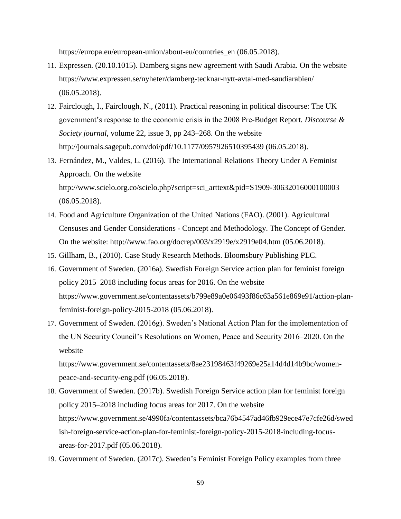https://europa.eu/european-union/about-eu/countries en (06.05.2018).

- 11. Expressen. (20.10.1015). Damberg signs new agreement with Saudi Arabia. On the website https://www.expressen.se/nyheter/damberg-tecknar-nytt-avtal-med-saudiarabien/ (06.05.2018).
- 12. Fairclough, I., Fairclough, N., (2011). Practical reasoning in political discourse: The UK government's response to the economic crisis in the 2008 Pre-Budget Report*. Discourse & Society journal*, volume 22, issue 3, pp 243–268. On the website http://journals.sagepub.com/doi/pdf/10.1177/0957926510395439 (06.05.2018).
- 13. Fernández, M., Valdes, L. (2016). The International Relations Theory Under A Feminist Approach. On the website http://www.scielo.org.co/scielo.php?script=sci\_arttext&pid=S1909-30632016000100003 (06.05.2018).
- 14. Food and Agriculture Organization of the United Nations (FAO). (2001). Agricultural Censuses and Gender Considerations - Concept and Methodology. The Concept of Gender. On the website: http://www.fao.org/docrep/003/x2919e/x2919e04.htm (05.06.2018).
- 15. Gillham, B., (2010). Case Study Research Methods. Bloomsbury Publishing PLC.
- 16. Government of Sweden. (2016a). Swedish Foreign Service action plan for feminist foreign policy 2015–2018 including focus areas for 2016. On the website https://www.government.se/contentassets/b799e89a0e06493f86c63a561e869e91/action-planfeminist-foreign-policy-2015-2018 (05.06.2018).
- 17. Government of Sweden. (2016g). Sweden's National Action Plan for the implementation of the UN Security Council's Resolutions on Women, Peace and Security 2016–2020. On the website

https://www.government.se/contentassets/8ae23198463f49269e25a14d4d14b9bc/womenpeace-and-security-eng.pdf (06.05.2018).

- 18. Government of Sweden. (2017b). Swedish Foreign Service action plan for feminist foreign policy 2015–2018 including focus areas for 2017. On the website https://www.government.se/4990fa/contentassets/bca76b4547ad46fb929ece47e7cfe26d/swed ish-foreign-service-action-plan-for-feminist-foreign-policy-2015-2018-including-focusareas-for-2017.pdf (05.06.2018).
- 19. Government of Sweden. (2017c). Sweden's Feminist Foreign Policy examples from three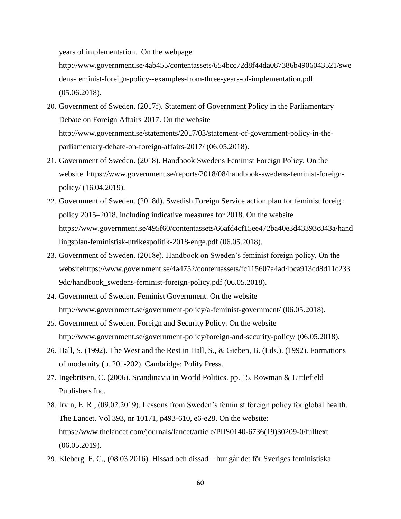years of implementation. On the webpage

http://www.government.se/4ab455/contentassets/654bcc72d8f44da087386b4906043521/swe dens-feminist-foreign-policy--examples-from-three-years-of-implementation.pdf (05.06.2018).

- 20. Government of Sweden. (2017f). Statement of Government Policy in the Parliamentary Debate on Foreign Affairs 2017. On the website http://www.government.se/statements/2017/03/statement-of-government-policy-in-theparliamentary-debate-on-foreign-affairs-2017/ (06.05.2018).
- 21. Government of Sweden. (2018). Handbook Swedens Feminist Foreign Policy. On the website https://www.government.se/reports/2018/08/handbook-swedens-feminist-foreignpolicy/ (16.04.2019).
- 22. Government of Sweden. (2018d). Swedish Foreign Service action plan for feminist foreign policy 2015–2018, including indicative measures for 2018. On the website https://www.government.se/495f60/contentassets/66afd4cf15ee472ba40e3d43393c843a/hand lingsplan-feministisk-utrikespolitik-2018-enge.pdf (06.05.2018).
- 23. Government of Sweden. (2018e). Handbook on Sweden's feminist foreign policy. On the websitehttps://www.government.se/4a4752/contentassets/fc115607a4ad4bca913cd8d11c233 9dc/handbook\_swedens-feminist-foreign-policy.pdf (06.05.2018).
- 24. Government of Sweden. Feminist Government. On the website http://www.government.se/government-policy/a-feminist-government/ (06.05.2018).
- 25. Government of Sweden. Foreign and Security Policy. On the website http://www.government.se/government-policy/foreign-and-security-policy/ (06.05.2018).
- 26. Hall, S. (1992). The West and the Rest in Hall, S., & Gieben, B. (Eds.). (1992). Formations of modernity (p. 201-202). Cambridge: Polity Press.
- 27. Ingebritsen, C. (2006). Scandinavia in World Politics. pp. 15. Rowman & Littlefield Publishers Inc.
- 28. Irvin, E. R., (09.02.2019). Lessons from Sweden's feminist foreign policy for global health. The Lancet. Vol 393, nr 10171, p493-610, e6-e28. On the website: https://www.thelancet.com/journals/lancet/article/PIIS0140-6736(19)30209-0/fulltext (06.05.2019).
- 29. Kleberg. F. C., (08.03.2016). Hissad och dissad hur går det för Sveriges feministiska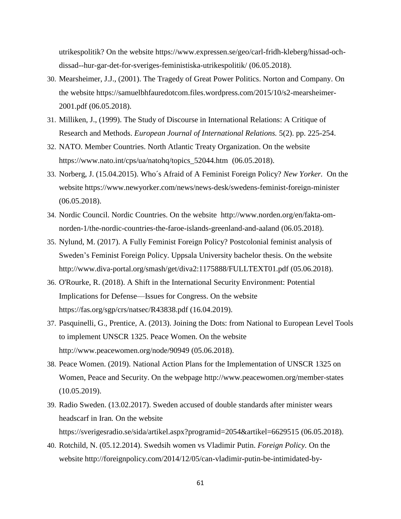utrikespolitik? On the website https://www.expressen.se/geo/carl-fridh-kleberg/hissad-ochdissad--hur-gar-det-for-sveriges-feministiska-utrikespolitik/ (06.05.2018).

- 30. Mearsheimer, J.J., (2001). The Tragedy of Great Power Politics. Norton and Company. On the website https://samuelbhfauredotcom.files.wordpress.com/2015/10/s2-mearsheimer-2001.pdf (06.05.2018).
- 31. Milliken, J., (1999). The Study of Discourse in International Relations: A Critique of Research and Methods. *European Journal of International Relations.* 5(2). pp. 225-254.
- 32. NATO. Member Countries. North Atlantic Treaty Organization. On the website https://www.nato.int/cps/ua/natohq/topics\_52044.htm (06.05.2018).
- 33. Norberg, J. (15.04.2015). Who´s Afraid of A Feminist Foreign Policy? *New Yorker.* On the website https://www.newyorker.com/news/news-desk/swedens-feminist-foreign-minister (06.05.2018).
- 34. Nordic Council. Nordic Countries. On the website http://www.norden.org/en/fakta-omnorden-1/the-nordic-countries-the-faroe-islands-greenland-and-aaland (06.05.2018).
- 35. Nylund, M. (2017). A Fully Feminist Foreign Policy? Postcolonial feminist analysis of Sweden's Feminist Foreign Policy. Uppsala University bachelor thesis. On the website http://www.diva-portal.org/smash/get/diva2:1175888/FULLTEXT01.pdf (05.06.2018).
- 36. O'Rourke, R. (2018). A Shift in the International Security Environment: Potential Implications for Defense—Issues for Congress. On the website https://fas.org/sgp/crs/natsec/R43838.pdf (16.04.2019).
- 37. Pasquinelli, G., Prentice, A. (2013). Joining the Dots: from National to European Level Tools to implement UNSCR 1325. Peace Women. On the website http://www.peacewomen.org/node/90949 (05.06.2018).
- 38. Peace Women. (2019). National Action Plans for the Implementation of UNSCR 1325 on Women, Peace and Security. On the webpage http://www.peacewomen.org/member-states (10.05.2019).
- 39. Radio Sweden. (13.02.2017). Sweden accused of double standards after minister wears headscarf in Iran*.* On the website https://sverigesradio.se/sida/artikel.aspx?programid=2054&artikel=6629515 (06.05.2018).
- 40. Rotchild, N. (05.12.2014). Swedsih women vs Vladimir Putin. *Foreign Policy.* On the website http://foreignpolicy.com/2014/12/05/can-vladimir-putin-be-intimidated-by-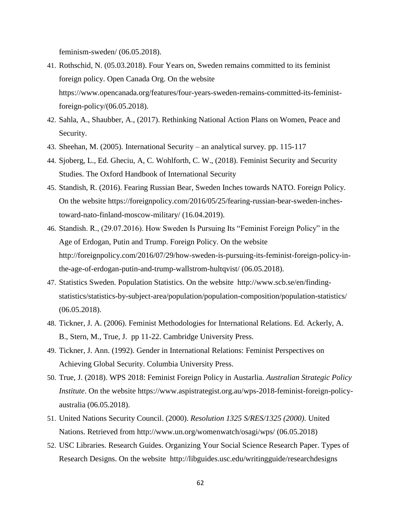feminism-sweden/ (06.05.2018).

- 41. Rothschid, N. (05.03.2018). Four Years on, Sweden remains committed to its feminist foreign policy. Open Canada Org. On the website https://www.opencanada.org/features/four-years-sweden-remains-committed-its-feministforeign-policy/(06.05.2018).
- 42. Sahla, A., Shaubber, A., (2017). Rethinking National Action Plans on Women, Peace and Security.
- 43. Sheehan, M. (2005). International Security an analytical survey*.* pp. 115-117
- 44. Sjoberg, L., Ed. Gheciu, A, C. Wohlforth, C. W., (2018). Feminist Security and Security Studies. The Oxford Handbook of International Security
- 45. Standish, R. (2016). Fearing Russian Bear, Sweden Inches towards NATO. Foreign Policy. On the website https://foreignpolicy.com/2016/05/25/fearing-russian-bear-sweden-inchestoward-nato-finland-moscow-military/ (16.04.2019).
- 46. Standish. R., (29.07.2016). How Sweden Is Pursuing Its "Feminist Foreign Policy" in the Age of Erdogan, Putin and Trump. Foreign Policy. On the website http://foreignpolicy.com/2016/07/29/how-sweden-is-pursuing-its-feminist-foreign-policy-inthe-age-of-erdogan-putin-and-trump-wallstrom-hultqvist/ (06.05.2018).
- 47. Statistics Sweden. Population Statistics. On the website http://www.scb.se/en/findingstatistics/statistics-by-subject-area/population/population-composition/population-statistics/ (06.05.2018).
- 48. Tickner, J. A. (2006). Feminist Methodologies for International Relations. Ed. Ackerly, A. B., Stern, M., True, J. pp 11-22. Cambridge University Press.
- 49. Tickner, J. Ann. (1992). Gender in International Relations: Feminist Perspectives on Achieving Global Security. Columbia University Press.
- 50. True, J. (2018). WPS 2018: Feminist Foreign Policy in Austarlia. *Australian Strategic Policy Institute*. On the website https://www.aspistrategist.org.au/wps-2018-feminist-foreign-policyaustralia (06.05.2018).
- 51. United Nations Security Council. (2000). *Resolution 1325 S/RES/1325 (2000)*. United Nations. Retrieved from http://www.un.org/womenwatch/osagi/wps/ (06.05.2018)
- 52. USC Libraries. Research Guides. Organizing Your Social Science Research Paper. Types of Research Designs. On the website http://libguides.usc.edu/writingguide/researchdesigns